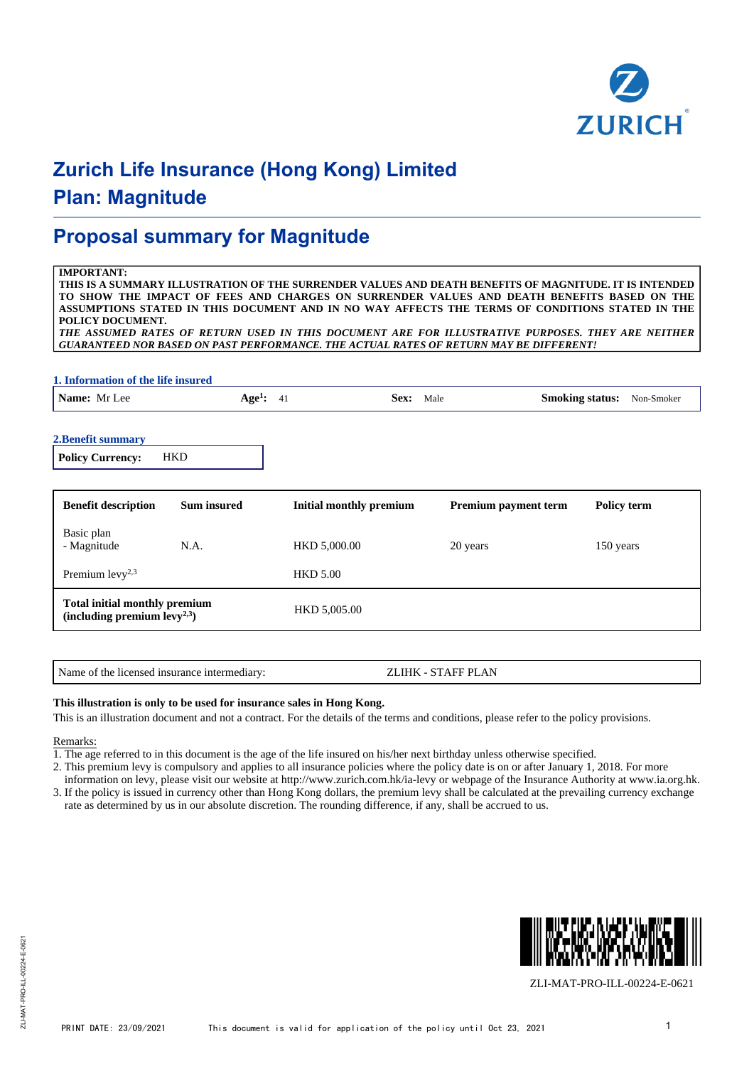

### **Proposal summary for Magnitude**

#### **IMPORTANT:**

**THIS IS A SUMMARY ILLUSTRATION OF THE SURRENDER VALUES AND DEATH BENEFITS OF MAGNITUDE. IT IS INTENDED TO SHOW THE IMPACT OF FEES AND CHARGES ON SURRENDER VALUES AND DEATH BENEFITS BASED ON THE ASSUMPTIONS STATED IN THIS DOCUMENT AND IN NO WAY AFFECTS THE TERMS OF CONDITIONS STATED IN THE POLICY DOCUMENT.**

*THE ASSUMED RATES OF RETURN USED IN THIS DOCUMENT ARE FOR ILLUSTRATIVE PURPOSES. THEY ARE NEITHER GUARANTEED NOR BASED ON PAST PERFORMANCE. THE ACTUAL RATES OF RETURN MAY BE DIFFERENT!*

| 1. Information of the life insured                                        |                    |                                 |                         |                             |                                      |  |
|---------------------------------------------------------------------------|--------------------|---------------------------------|-------------------------|-----------------------------|--------------------------------------|--|
| Name: Mr Lee                                                              |                    | Age <sup>1</sup> : $41$<br>Sex: |                         | Male                        | <b>Smoking status:</b><br>Non-Smoker |  |
| 2. Benefit summary<br><b>Policy Currency:</b>                             | <b>HKD</b>         |                                 |                         |                             |                                      |  |
| <b>Benefit description</b>                                                | <b>Sum insured</b> |                                 | Initial monthly premium | <b>Premium payment term</b> | Policy term                          |  |
| Basic plan<br>- Magnitude                                                 | N.A.               | HKD 5,000.00                    |                         | 20 years                    | 150 years                            |  |
| Premium $levy^{2,3}$                                                      |                    | <b>HKD 5.00</b>                 |                         |                             |                                      |  |
| <b>Total initial monthly premium</b><br>(including premium $levy^{2,3}$ ) |                    | HKD 5,005.00                    |                         |                             |                                      |  |

#### Name of the licensed insurance intermediary: <br>ZLIHK - STAFF PLAN

#### **This illustration is only to be used for insurance sales in Hong Kong.**

This is an illustration document and not a contract. For the details of the terms and conditions, please refer to the policy provisions.

#### Remarks:

1. The age referred to in this document is the age of the life insured on his/her next birthday unless otherwise specified.

2. This premium levy is compulsory and applies to all insurance policies where the policy date is on or after January 1, 2018. For more

information on levy, please visit our website at http://www.zurich.com.hk/ia-levy or webpage of the Insurance Authority at www.ia.org.hk. 3. If the policy is issued in currency other than Hong Kong dollars, the premium levy shall be calculated at the prevailing currency exchange rate as determined by us in our absolute discretion. The rounding difference, if any, shall be accrued to us.



ZLI-MAT-PRO-ILL-00224-E-0621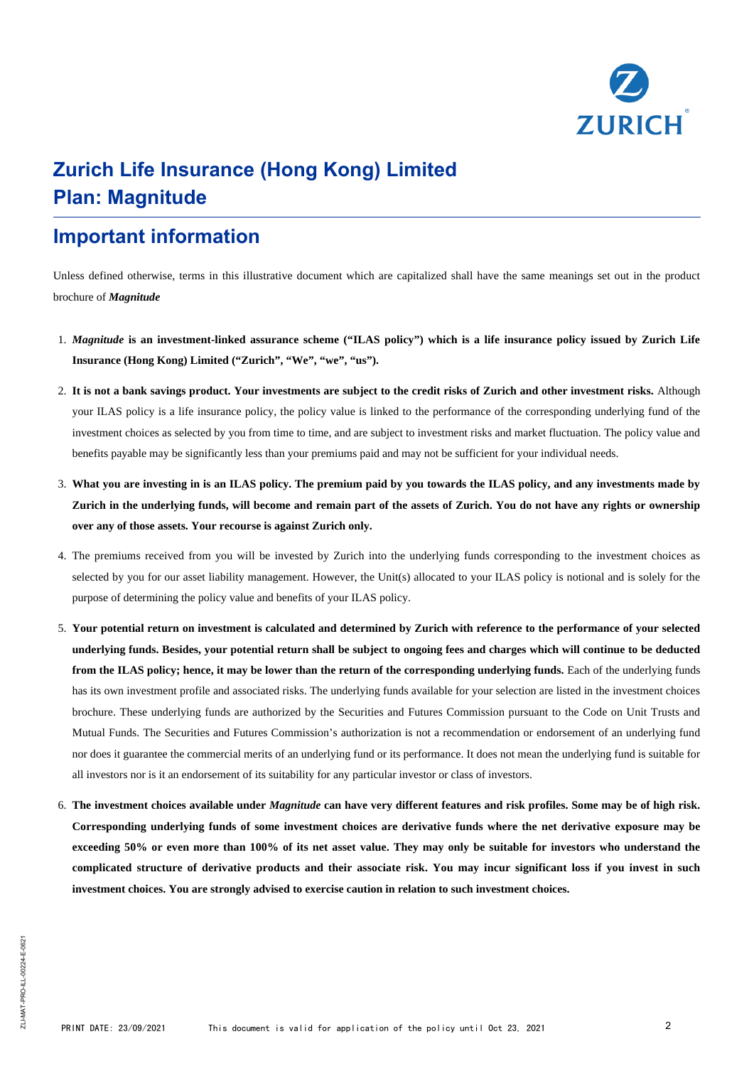

### **Important information**

Unless defined otherwise, terms in this illustrative document which are capitalized shall have the same meanings set out in the product brochure of *Magnitude*

- 1. *Magnitude* **is an investment-linked assurance scheme ("ILAS policy") which is a life insurance policy issued by Zurich Life Insurance (Hong Kong) Limited ("Zurich", "We", "we", "us").**
- 2. **It is not a bank savings product. Your investments are subject to the credit risks of Zurich and other investment risks.** Although your ILAS policy is a life insurance policy, the policy value is linked to the performance of the corresponding underlying fund of the investment choices as selected by you from time to time, and are subject to investment risks and market fluctuation. The policy value and benefits payable may be significantly less than your premiums paid and may not be sufficient for your individual needs.
- 3. **What you are investing in is an ILAS policy. The premium paid by you towards the ILAS policy, and any investments made by Zurich in the underlying funds, will become and remain part of the assets of Zurich. You do not have any rights or ownership over any of those assets. Your recourse is against Zurich only.**
- 4. The premiums received from you will be invested by Zurich into the underlying funds corresponding to the investment choices as selected by you for our asset liability management. However, the Unit(s) allocated to your ILAS policy is notional and is solely for the purpose of determining the policy value and benefits of your ILAS policy.
- 5. **Your potential return on investment is calculated and determined by Zurich with reference to the performance of your selected underlying funds. Besides, your potential return shall be subject to ongoing fees and charges which will continue to be deducted** from the ILAS policy; hence, it may be lower than the return of the corresponding underlying funds. Each of the underlying funds has its own investment profile and associated risks. The underlying funds available for your selection are listed in the investment choices brochure. These underlying funds are authorized by the Securities and Futures Commission pursuant to the Code on Unit Trusts and Mutual Funds. The Securities and Futures Commission's authorization is not a recommendation or endorsement of an underlying fund nor does it guarantee the commercial merits of an underlying fund or its performance. It does not mean the underlying fund is suitable for all investors nor is it an endorsement of its suitability for any particular investor or class of investors.
- 6. **The investment choices available under** *Magnitude* **can have very different features and risk profiles. Some may be of high risk. Corresponding underlying funds of some investment choices are derivative funds where the net derivative exposure may be exceeding 50% or even more than 100% of its net asset value. They may only be suitable for investors who understand the complicated structure of derivative products and their associate risk. You may incur significant loss if you invest in such investment choices. You are strongly advised to exercise caution in relation to such investment choices.**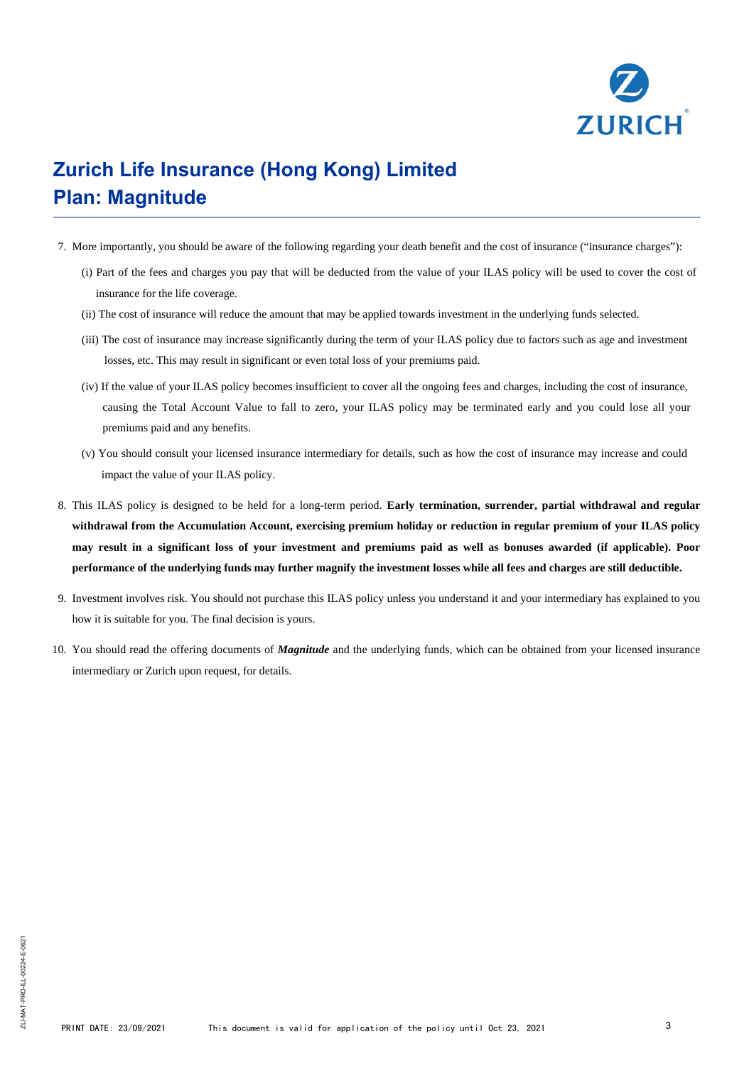

- 7. More importantly, you should be aware of the following regarding your death benefit and the cost of insurance ("insurance charges"):
	- (i) Part of the fees and charges you pay that will be deducted from the value of your ILAS policy will be used to cover the cost of insurance for the life coverage.
	- (ii) The cost of insurance will reduce the amount that may be applied towards investment in the underlying funds selected.
	- (iii) The cost of insurance may increase significantly during the term of your ILAS policy due to factors such as age and investment losses, etc. This may result in significant or even total loss of your premiums paid.
	- (iv) If the value of your ILAS policy becomes insufficient to cover all the ongoing fees and charges, including the cost of insurance, causing the Total Account Value to fall to zero, your ILAS policy may be terminated early and you could lose all your premiums paid and any benefits.
	- (v) You should consult your licensed insurance intermediary for details, such as how the cost of insurance may increase and could impact the value of your ILAS policy.
- 8. This ILAS policy is designed to be held for a long-term period. **Early termination, surrender, partial withdrawal and regular withdrawal from the Accumulation Account, exercising premium holiday or reduction in regular premium of your ILAS policy may result in a significant loss of your investment and premiums paid as well as bonuses awarded (if applicable). Poor performance of the underlying funds may further magnify the investment losses while all fees and charges are still deductible.**
- 9. Investment involves risk. You should not purchase this ILAS policy unless you understand it and your intermediary has explained to you how it is suitable for you. The final decision is yours.
- 10. You should read the offering documents of *Magnitude* and the underlying funds, which can be obtained from your licensed insurance intermediary or Zurich upon request, for details.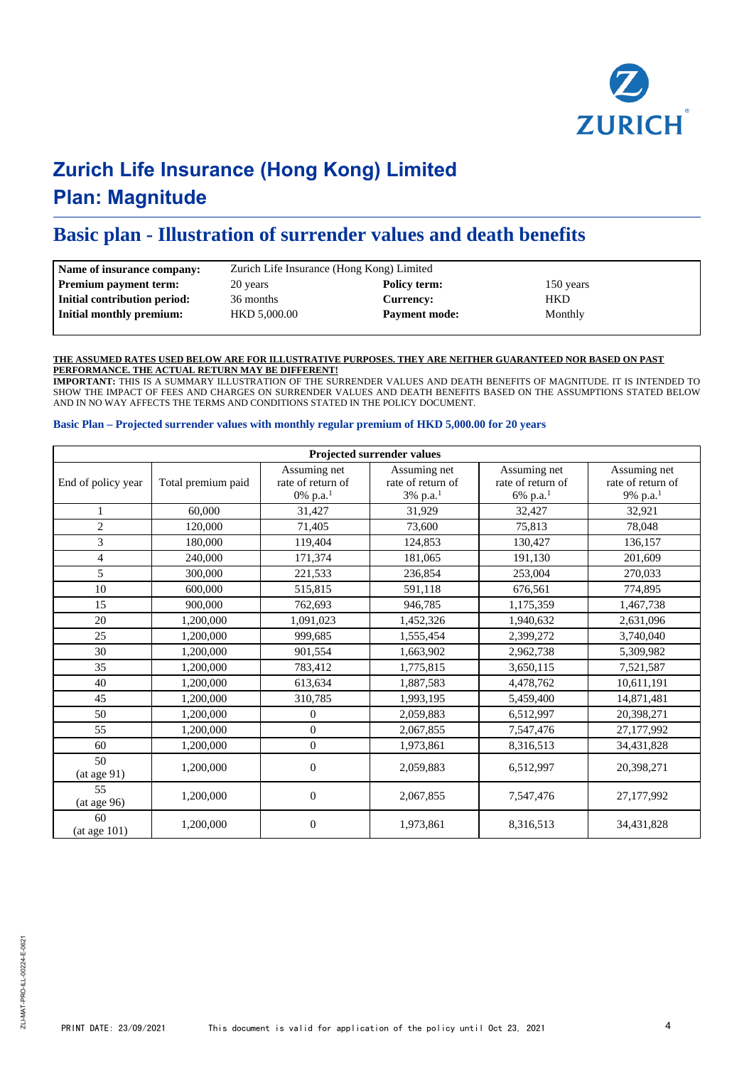

### **Basic plan - Illustration of surrender values and death benefits**

| Name of insurance company:   | Zurich Life Insurance (Hong Kong) Limited |                      |            |  |  |
|------------------------------|-------------------------------------------|----------------------|------------|--|--|
| <b>Premium payment term:</b> | 20 years                                  | Policy term:         | 150 years  |  |  |
| Initial contribution period: | 36 months                                 | <b>Currency:</b>     | <b>HKD</b> |  |  |
| Initial monthly premium:     | HKD 5,000.00                              | <b>Payment mode:</b> | Monthly    |  |  |
|                              |                                           |                      |            |  |  |

#### **THE ASSUMED RATES USED BELOW ARE FOR ILLUSTRATIVE PURPOSES. THEY ARE NEITHER GUARANTEED NOR BASED ON PAST PERFORMANCE. THE ACTUAL RETURN MAY BE DIFFERENT!**

**IMPORTANT:** THIS IS A SUMMARY ILLUSTRATION OF THE SURRENDER VALUES AND DEATH BENEFITS OF MAGNITUDE. IT IS INTENDED TO SHOW THE IMPACT OF FEES AND CHARGES ON SURRENDER VALUES AND DEATH BENEFITS BASED ON THE ASSUMPTIONS STATED BELOW AND IN NO WAY AFFECTS THE TERMS AND CONDITIONS STATED IN THE POLICY DOCUMENT.

#### **Basic Plan – Projected surrender values with monthly regular premium of HKD 5,000.00 for 20 years**

|                    |                    |                                               | Projected surrender values                                |                                                           |                                                           |
|--------------------|--------------------|-----------------------------------------------|-----------------------------------------------------------|-----------------------------------------------------------|-----------------------------------------------------------|
| End of policy year | Total premium paid | Assuming net<br>rate of return of<br>0% p.a.1 | Assuming net<br>rate of return of<br>3% p.a. <sup>1</sup> | Assuming net<br>rate of return of<br>6% p.a. <sup>1</sup> | Assuming net<br>rate of return of<br>9% p.a. <sup>1</sup> |
| 1                  | 60,000             | 31.427                                        | 31.929                                                    | 32,427                                                    | 32,921                                                    |
| $\overline{c}$     | 120,000            | 71,405                                        | 73,600                                                    | 75,813                                                    | 78,048                                                    |
| 3                  | 180,000            | 119,404                                       | 124,853                                                   | 130,427                                                   | 136,157                                                   |
| $\overline{4}$     | 240,000            | 171,374                                       | 181,065                                                   | 191,130                                                   | 201,609                                                   |
| 5                  | 300,000            | 221,533                                       | 236,854                                                   | 253,004                                                   | 270,033                                                   |
| 10                 | 600,000            | 515,815                                       | 591,118                                                   | 676,561                                                   | 774.895                                                   |
| 15                 | 900,000            | 762,693                                       | 946,785                                                   | 1,175,359                                                 | 1,467,738                                                 |
| 20                 | 1,200,000          | 1,091,023                                     | 1,452,326                                                 | 1,940,632                                                 | 2,631,096                                                 |
| 25                 | 1,200,000          | 999.685                                       | 1,555,454                                                 | 2,399,272                                                 | 3,740,040                                                 |
| 30                 | 1,200,000          | 901,554                                       | 1,663,902                                                 | 2,962,738                                                 | 5,309,982                                                 |
| 35                 | 1,200,000          | 783,412                                       | 1,775,815                                                 | 3,650,115                                                 | 7,521,587                                                 |
| 40                 | 1,200,000          | 613,634                                       | 1,887,583                                                 | 4,478,762                                                 | 10,611,191                                                |
| 45                 | 1,200,000          | 310,785                                       | 1,993,195                                                 | 5,459,400                                                 | 14,871,481                                                |
| 50                 | 1,200,000          | $\Omega$                                      | 2,059,883                                                 | 6,512,997                                                 | 20,398,271                                                |
| 55                 | 1,200,000          | $\overline{0}$                                | 2,067,855                                                 | 7,547,476                                                 | 27,177,992                                                |
| 60                 | 1,200,000          | $\overline{0}$                                | 1,973,861                                                 | 8,316,513                                                 | 34,431,828                                                |
| 50<br>(at age 91)  | 1,200,000          | $\theta$                                      | 2,059,883                                                 | 6,512,997                                                 | 20,398,271                                                |
| 55<br>(at age 96)  | 1,200,000          | $\mathbf{0}$                                  | 2,067,855                                                 | 7,547,476                                                 | 27,177,992                                                |
| 60<br>(at age 101) | 1,200,000          | $\mathbf{0}$                                  | 1,973,861                                                 | 8,316,513                                                 | 34,431,828                                                |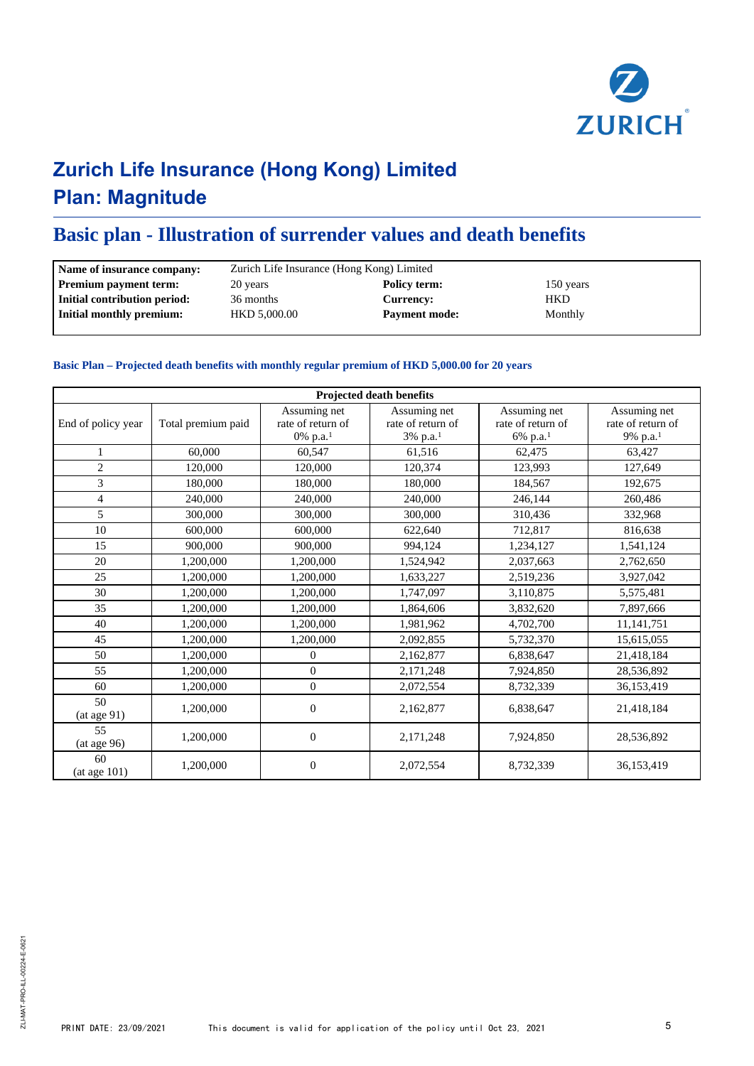

### **Basic plan - Illustration of surrender values and death benefits**

| Name of insurance company:   | Zurich Life Insurance (Hong Kong) Limited |                      |            |  |  |
|------------------------------|-------------------------------------------|----------------------|------------|--|--|
| <b>Premium payment term:</b> | 20 years                                  | Policy term:         | 150 years  |  |  |
| Initial contribution period: | 36 months                                 | <b>Currency:</b>     | <b>HKD</b> |  |  |
| Initial monthly premium:     | HKD 5,000.00                              | <b>Payment mode:</b> | Monthly    |  |  |

#### **Basic Plan – Projected death benefits with monthly regular premium of HKD 5,000.00 for 20 years**

|                    | Projected death benefits |                                                           |                                                           |                                                           |                                                           |  |  |  |
|--------------------|--------------------------|-----------------------------------------------------------|-----------------------------------------------------------|-----------------------------------------------------------|-----------------------------------------------------------|--|--|--|
| End of policy year | Total premium paid       | Assuming net<br>rate of return of<br>0% p.a. <sup>1</sup> | Assuming net<br>rate of return of<br>3% p.a. <sup>1</sup> | Assuming net<br>rate of return of<br>6% p.a. <sup>1</sup> | Assuming net<br>rate of return of<br>9% p.a. <sup>1</sup> |  |  |  |
| $\mathbf{1}$       | 60,000                   | 60,547                                                    | 61,516                                                    | 62,475                                                    | 63,427                                                    |  |  |  |
| $\overline{2}$     | 120,000                  | 120,000                                                   | 120,374                                                   | 123,993                                                   | 127,649                                                   |  |  |  |
| 3                  | 180,000                  | 180,000                                                   | 180,000                                                   | 184,567                                                   | 192,675                                                   |  |  |  |
| 4                  | 240,000                  | 240,000                                                   | 240,000                                                   | 246,144                                                   | 260,486                                                   |  |  |  |
| 5                  | 300,000                  | 300,000                                                   | 300,000                                                   | 310,436                                                   | 332,968                                                   |  |  |  |
| 10                 | 600,000                  | 600,000                                                   | 622,640                                                   | 712,817                                                   | 816,638                                                   |  |  |  |
| 15                 | 900,000                  | 900,000                                                   | 994,124                                                   | 1,234,127                                                 | 1,541,124                                                 |  |  |  |
| 20                 | 1.200.000                | 1,200,000                                                 | 1,524,942                                                 | 2,037,663                                                 | 2,762,650                                                 |  |  |  |
| 25                 | 1,200,000                | 1,200,000                                                 | 1,633,227                                                 | 2,519,236                                                 | 3,927,042                                                 |  |  |  |
| 30                 | 1,200,000                | 1,200,000                                                 | 1,747,097                                                 | 3,110,875                                                 | 5,575,481                                                 |  |  |  |
| 35                 | 1,200,000                | 1,200,000                                                 | 1,864,606                                                 | 3,832,620                                                 | 7,897,666                                                 |  |  |  |
| 40                 | 1,200,000                | 1,200,000                                                 | 1,981,962                                                 | 4,702,700                                                 | 11,141,751                                                |  |  |  |
| 45                 | 1,200,000                | 1,200,000                                                 | 2,092,855                                                 | 5,732,370                                                 | 15,615,055                                                |  |  |  |
| 50                 | 1,200,000                | $\overline{0}$                                            | 2,162,877                                                 | 6,838,647                                                 | 21,418,184                                                |  |  |  |
| 55                 | 1,200,000                | $\Omega$                                                  | 2,171,248                                                 | 7,924,850                                                 | 28,536,892                                                |  |  |  |
| 60                 | 1,200,000                | $\overline{0}$                                            | 2,072,554                                                 | 8,732,339                                                 | 36,153,419                                                |  |  |  |
| 50<br>(at age 91)  | 1,200,000                | $\mathbf{0}$                                              | 2,162,877                                                 | 6,838,647                                                 | 21,418,184                                                |  |  |  |
| 55<br>(at age 96)  | 1,200,000                | $\mathbf{0}$                                              | 2,171,248                                                 | 7,924,850                                                 | 28,536,892                                                |  |  |  |
| 60<br>(at age 101) | 1,200,000                | $\mathbf{0}$                                              | 2,072,554                                                 | 8,732,339                                                 | 36,153,419                                                |  |  |  |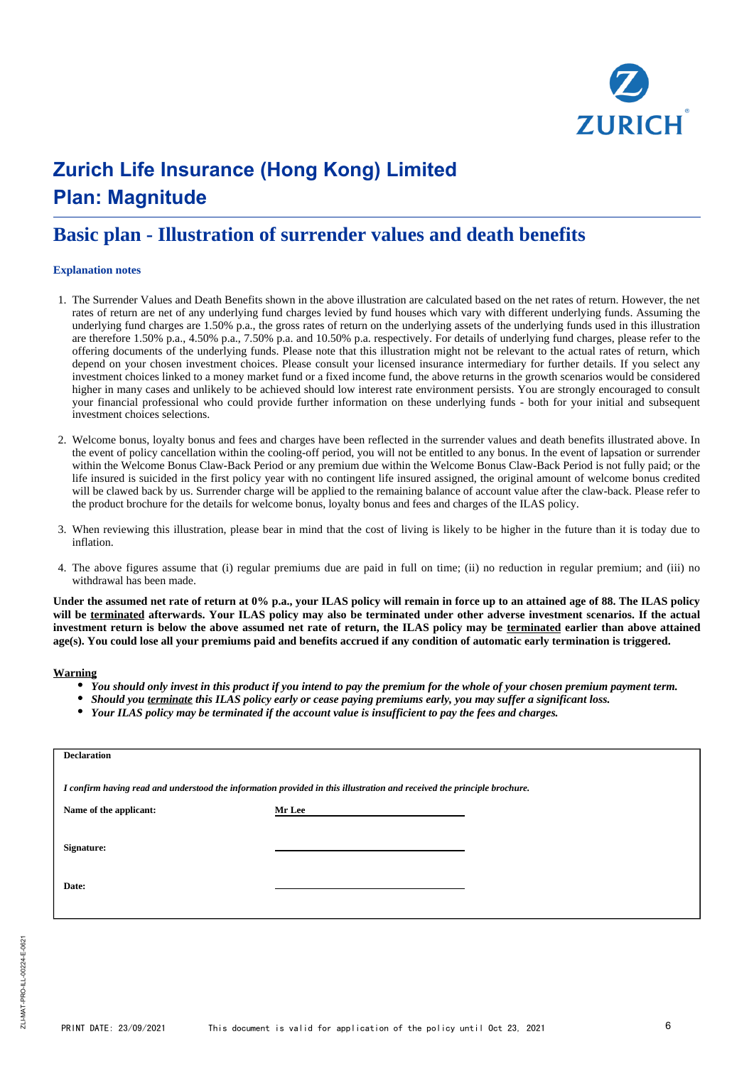

### **Basic plan - Illustration of surrender values and death benefits**

#### **Explanation notes**

- 1. The Surrender Values and Death Benefits shown in the above illustration are calculated based on the net rates of return. However, the net rates of return are net of any underlying fund charges levied by fund houses which vary with different underlying funds. Assuming the underlying fund charges are 1.50% p.a., the gross rates of return on the underlying assets of the underlying funds used in this illustration are therefore 1.50% p.a., 4.50% p.a., 7.50% p.a. and 10.50% p.a. respectively. For details of underlying fund charges, please refer to the offering documents of the underlying funds. Please note that this illustration might not be relevant to the actual rates of return, which depend on your chosen investment choices. Please consult your licensed insurance intermediary for further details. If you select any investment choices linked to a money market fund or a fixed income fund, the above returns in the growth scenarios would be considered higher in many cases and unlikely to be achieved should low interest rate environment persists. You are strongly encouraged to consult your financial professional who could provide further information on these underlying funds - both for your initial and subsequent investment choices selections.
- 2. Welcome bonus, loyalty bonus and fees and charges have been reflected in the surrender values and death benefits illustrated above. In the event of policy cancellation within the cooling-off period, you will not be entitled to any bonus. In the event of lapsation or surrender within the Welcome Bonus Claw-Back Period or any premium due within the Welcome Bonus Claw-Back Period is not fully paid: or the life insured is suicided in the first policy year with no contingent life insured assigned, the original amount of welcome bonus credited will be clawed back by us. Surrender charge will be applied to the remaining balance of account value after the claw-back. Please refer to the product brochure for the details for welcome bonus, loyalty bonus and fees and charges of the ILAS policy.
- 3. When reviewing this illustration, please bear in mind that the cost of living is likely to be higher in the future than it is today due to inflation.
- 4. The above figures assume that (i) regular premiums due are paid in full on time; (ii) no reduction in regular premium; and (iii) no withdrawal has been made.

**Under the assumed net rate of return at 0% p.a., your ILAS policy will remain in force up to an attained age of 88. The ILAS policy will be terminated afterwards. Your ILAS policy may also be terminated under other adverse investment scenarios. If the actual investment return is below the above assumed net rate of return, the ILAS policy may be terminated earlier than above attained age(s). You could lose all your premiums paid and benefits accrued if any condition of automatic early termination is triggered.**

#### **Warning**

- *You should only invest in this product if you intend to pay the premium for the whole of your chosen premium payment term.*
- *Should you terminate this ILAS policy early or cease paying premiums early, you may suffer a significant loss.*
- *Your ILAS policy may be terminated if the account value is insufficient to pay the fees and charges.*

| <b>Declaration</b>                                                                                                      |               |  |  |  |  |  |
|-------------------------------------------------------------------------------------------------------------------------|---------------|--|--|--|--|--|
| I confirm having read and understood the information provided in this illustration and received the principle brochure. |               |  |  |  |  |  |
| Name of the applicant:                                                                                                  | <b>Mr Lee</b> |  |  |  |  |  |
| Signature:<br>Date:                                                                                                     |               |  |  |  |  |  |
|                                                                                                                         |               |  |  |  |  |  |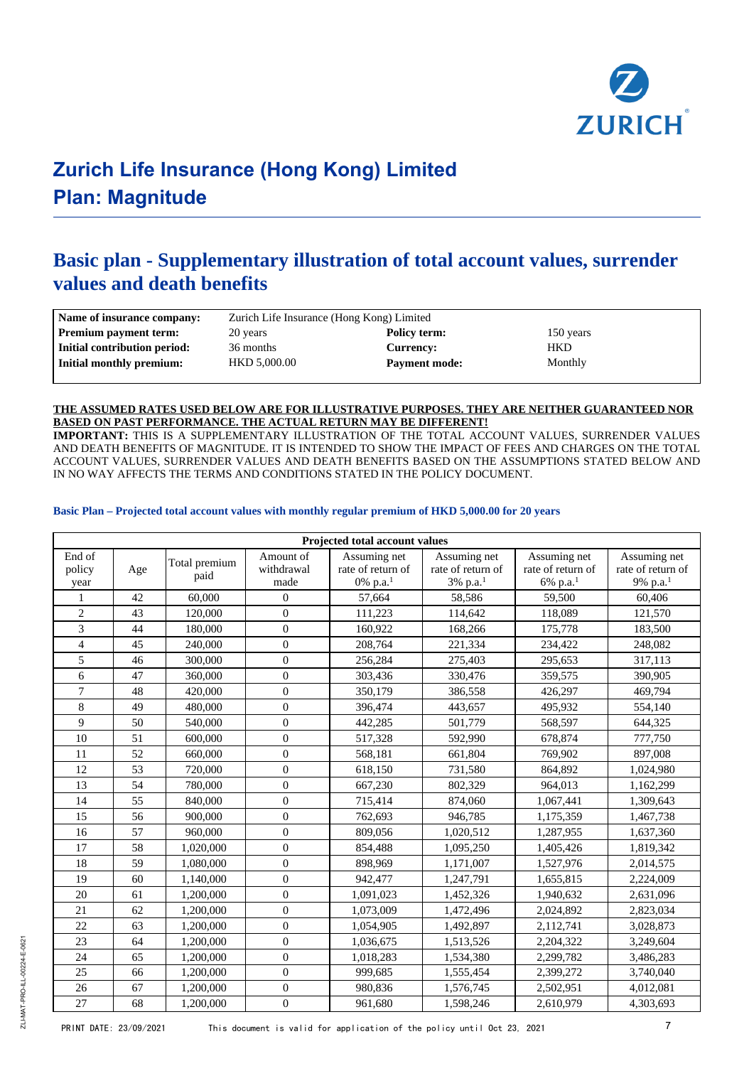

### **Basic plan - Supplementary illustration of total account values, surrender values and death benefits**

| Name of insurance company:   | Zurich Life Insurance (Hong Kong) Limited |                      |           |  |  |
|------------------------------|-------------------------------------------|----------------------|-----------|--|--|
| <b>Premium payment term:</b> | 20 years                                  | Policy term:         | 150 years |  |  |
| Initial contribution period: | 36 months                                 | Currency:            | HKD       |  |  |
| Initial monthly premium:     | HKD 5,000.00                              | <b>Payment mode:</b> | Monthly   |  |  |

#### **THE ASSUMED RATES USED BELOW ARE FOR ILLUSTRATIVE PURPOSES. THEY ARE NEITHER GUARANTEED NOR BASED ON PAST PERFORMANCE. THE ACTUAL RETURN MAY BE DIFFERENT!**

**IMPORTANT:** THIS IS A SUPPLEMENTARY ILLUSTRATION OF THE TOTAL ACCOUNT VALUES, SURRENDER VALUES AND DEATH BENEFITS OF MAGNITUDE. IT IS INTENDED TO SHOW THE IMPACT OF FEES AND CHARGES ON THE TOTAL ACCOUNT VALUES, SURRENDER VALUES AND DEATH BENEFITS BASED ON THE ASSUMPTIONS STATED BELOW AND IN NO WAY AFFECTS THE TERMS AND CONDITIONS STATED IN THE POLICY DOCUMENT.

#### **Basic Plan – Projected total account values with monthly regular premium of HKD 5,000.00 for 20 years**

|                          |     |                       |                                 | Projected total account values                            |                                                           |                                                           |                                                           |
|--------------------------|-----|-----------------------|---------------------------------|-----------------------------------------------------------|-----------------------------------------------------------|-----------------------------------------------------------|-----------------------------------------------------------|
| End of<br>policy<br>year | Age | Total premium<br>paid | Amount of<br>withdrawal<br>made | Assuming net<br>rate of return of<br>0% p.a. <sup>1</sup> | Assuming net<br>rate of return of<br>3% p.a. <sup>1</sup> | Assuming net<br>rate of return of<br>6% p.a. <sup>1</sup> | Assuming net<br>rate of return of<br>9% p.a. <sup>1</sup> |
| 1                        | 42  | 60,000                | $\theta$                        | 57,664                                                    | 58,586                                                    | 59,500                                                    | 60,406                                                    |
| $\overline{2}$           | 43  | 120,000               | $\overline{0}$                  | 111,223                                                   | 114,642                                                   | 118,089                                                   | 121,570                                                   |
| 3                        | 44  | 180,000               | $\overline{0}$                  | 160,922                                                   | 168,266                                                   | 175,778                                                   | 183,500                                                   |
| $\overline{4}$           | 45  | 240,000               | $\boldsymbol{0}$                | 208,764                                                   | 221,334                                                   | 234,422                                                   | 248,082                                                   |
| 5                        | 46  | 300,000               | $\overline{0}$                  | 256,284                                                   | 275,403                                                   | 295,653                                                   | 317,113                                                   |
| 6                        | 47  | 360,000               | $\overline{0}$                  | 303,436                                                   | 330,476                                                   | 359,575                                                   | 390,905                                                   |
| 7                        | 48  | 420,000               | $\theta$                        | 350,179                                                   | 386,558                                                   | 426,297                                                   | 469,794                                                   |
| 8                        | 49  | 480,000               | $\theta$                        | 396,474                                                   | 443,657                                                   | 495,932                                                   | 554,140                                                   |
| 9                        | 50  | 540,000               | $\overline{0}$                  | 442,285                                                   | 501,779                                                   | 568,597                                                   | 644,325                                                   |
| 10                       | 51  | 600,000               | $\overline{0}$                  | 517,328                                                   | 592,990                                                   | 678,874                                                   | 777,750                                                   |
| 11                       | 52  | 660,000               | $\overline{0}$                  | 568,181                                                   | 661,804                                                   | 769,902                                                   | 897,008                                                   |
| 12                       | 53  | 720,000               | $\theta$                        | 618,150                                                   | 731,580                                                   | 864,892                                                   | 1,024,980                                                 |
| 13                       | 54  | 780,000               | $\theta$                        | 667,230                                                   | 802,329                                                   | 964,013                                                   | 1,162,299                                                 |
| 14                       | 55  | 840,000               | $\overline{0}$                  | 715,414                                                   | 874,060                                                   | 1,067,441                                                 | 1,309,643                                                 |
| 15                       | 56  | 900,000               | $\overline{0}$                  | 762,693                                                   | 946,785                                                   | 1,175,359                                                 | 1,467,738                                                 |
| 16                       | 57  | 960,000               | $\overline{0}$                  | 809,056                                                   | 1,020,512                                                 | 1,287,955                                                 | 1,637,360                                                 |
| 17                       | 58  | 1,020,000             | $\overline{0}$                  | 854,488                                                   | 1,095,250                                                 | 1,405,426                                                 | 1,819,342                                                 |
| 18                       | 59  | 1,080,000             | $\overline{0}$                  | 898,969                                                   | 1,171,007                                                 | 1,527,976                                                 | 2,014,575                                                 |
| 19                       | 60  | 1,140,000             | $\overline{0}$                  | 942,477                                                   | 1,247,791                                                 | 1,655,815                                                 | 2,224,009                                                 |
| 20                       | 61  | 1,200,000             | $\overline{0}$                  | 1,091,023                                                 | 1,452,326                                                 | 1,940,632                                                 | 2,631,096                                                 |
| 21                       | 62  | 1,200,000             | $\overline{0}$                  | 1,073,009                                                 | 1,472,496                                                 | 2,024,892                                                 | 2,823,034                                                 |
| 22                       | 63  | 1,200,000             | $\overline{0}$                  | 1,054,905                                                 | 1,492,897                                                 | 2,112,741                                                 | 3,028,873                                                 |
| 23                       | 64  | 1,200,000             | $\overline{0}$                  | 1,036,675                                                 | 1,513,526                                                 | 2,204,322                                                 | 3,249,604                                                 |
| 24                       | 65  | 1,200,000             | $\overline{0}$                  | 1,018,283                                                 | 1,534,380                                                 | 2,299,782                                                 | 3,486,283                                                 |
| 25                       | 66  | 1,200,000             | $\overline{0}$                  | 999,685                                                   | 1,555,454                                                 | 2,399,272                                                 | 3,740,040                                                 |
| 26                       | 67  | 1,200,000             | $\overline{0}$                  | 980,836                                                   | 1,576,745                                                 | 2,502,951                                                 | 4,012,081                                                 |
| 27                       | 68  | 1,200,000             | $\boldsymbol{0}$                | 961,680                                                   | 1,598,246                                                 | 2,610,979                                                 | 4,303,693                                                 |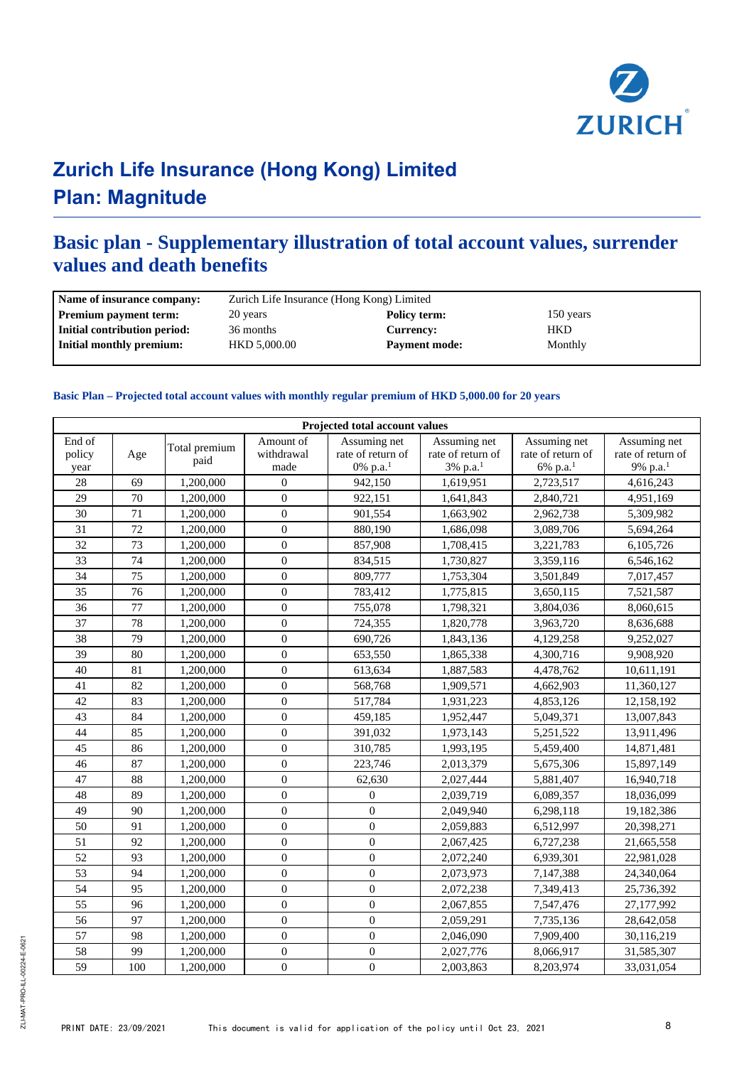

### **Basic plan - Supplementary illustration of total account values, surrender values and death benefits**

| Name of insurance company:   | Zurich Life Insurance (Hong Kong) Limited |                      |           |  |  |
|------------------------------|-------------------------------------------|----------------------|-----------|--|--|
| <b>Premium payment term:</b> | 20 years                                  | Policy term:         | 150 years |  |  |
| Initial contribution period: | 36 months                                 | <b>Currency:</b>     | HKD       |  |  |
| Initial monthly premium:     | HKD 5,000.00                              | <b>Payment mode:</b> | Monthly   |  |  |
|                              |                                           |                      |           |  |  |

#### **Basic Plan – Projected total account values with monthly regular premium of HKD 5,000.00 for 20 years**

|                          | Projected total account values |                       |                                 |                                               |                                                           |                                                           |                                                           |  |
|--------------------------|--------------------------------|-----------------------|---------------------------------|-----------------------------------------------|-----------------------------------------------------------|-----------------------------------------------------------|-----------------------------------------------------------|--|
| End of<br>policy<br>year | Age                            | Total premium<br>paid | Amount of<br>withdrawal<br>made | Assuming net<br>rate of return of<br>0% p.a.1 | Assuming net<br>rate of return of<br>3% p.a. <sup>1</sup> | Assuming net<br>rate of return of<br>6% p.a. <sup>1</sup> | Assuming net<br>rate of return of<br>9% p.a. <sup>1</sup> |  |
| 28                       | 69                             | 1,200,000             | $\Omega$                        | 942,150                                       | 1,619,951                                                 | 2,723,517                                                 | 4,616,243                                                 |  |
| $\overline{29}$          | $\overline{70}$                | 1,200,000             | $\theta$                        | 922,151                                       | 1,641,843                                                 | 2,840,721                                                 | 4,951,169                                                 |  |
| 30                       | 71                             | 1,200,000             | $\boldsymbol{0}$                | 901,554                                       | 1,663,902                                                 | 2,962,738                                                 | 5,309,982                                                 |  |
| $\overline{31}$          | 72                             | 1,200,000             | $\mathbf{0}$                    | 880,190                                       | 1,686,098                                                 | 3,089,706                                                 | 5,694,264                                                 |  |
| 32                       | 73                             | 1,200,000             | $\boldsymbol{0}$                | 857,908                                       | 1,708,415                                                 | 3,221,783                                                 | 6,105,726                                                 |  |
| 33                       | 74                             | 1,200,000             | $\mathbf{0}$                    | 834,515                                       | 1,730,827                                                 | 3,359,116                                                 | 6,546,162                                                 |  |
| 34                       | 75                             | 1,200,000             | $\boldsymbol{0}$                | 809,777                                       | 1,753,304                                                 | 3,501,849                                                 | 7,017,457                                                 |  |
| 35                       | 76                             | 1,200,000             | $\mathbf{0}$                    | 783,412                                       | 1,775,815                                                 | 3,650,115                                                 | 7,521,587                                                 |  |
| 36                       | 77                             | 1,200,000             | $\mathbf{0}$                    | 755,078                                       | 1,798,321                                                 | 3,804,036                                                 | 8,060,615                                                 |  |
| 37                       | 78                             | 1,200,000             | $\overline{0}$                  | 724,355                                       | 1,820,778                                                 | 3,963,720                                                 | 8,636,688                                                 |  |
| 38                       | 79                             | 1,200,000             | $\mathbf{0}$                    | 690,726                                       | 1,843,136                                                 | 4,129,258                                                 | 9,252,027                                                 |  |
| 39                       | 80                             | 1,200,000             | $\theta$                        | 653,550                                       | 1,865,338                                                 | 4,300,716                                                 | 9,908,920                                                 |  |
| 40                       | 81                             | 1,200,000             | $\overline{0}$                  | 613,634                                       | 1,887,583                                                 | 4,478,762                                                 | 10,611,191                                                |  |
| 41                       | 82                             | 1,200,000             | $\boldsymbol{0}$                | 568,768                                       | 1,909,571                                                 | 4,662,903                                                 | 11,360,127                                                |  |
| 42                       | 83                             | 1,200,000             | $\boldsymbol{0}$                | 517,784                                       | 1,931,223                                                 | 4,853,126                                                 | 12,158,192                                                |  |
| 43                       | 84                             | 1,200,000             | $\boldsymbol{0}$                | 459,185                                       | 1,952,447                                                 | 5,049,371                                                 | 13,007,843                                                |  |
| 44                       | 85                             | 1,200,000             | $\theta$                        | 391,032                                       | 1,973,143                                                 | 5,251,522                                                 | 13,911,496                                                |  |
| 45                       | 86                             | 1,200,000             | $\boldsymbol{0}$                | 310,785                                       | 1,993,195                                                 | 5,459,400                                                 | 14,871,481                                                |  |
| 46                       | 87                             | 1,200,000             | $\overline{0}$                  | 223,746                                       | 2,013,379                                                 | 5,675,306                                                 | 15,897,149                                                |  |
| 47                       | 88                             | 1,200,000             | $\mathbf{0}$                    | 62,630                                        | 2,027,444                                                 | 5,881,407                                                 | 16,940,718                                                |  |
| 48                       | 89                             | 1,200,000             | $\boldsymbol{0}$                | $\mathbf{0}$                                  | 2,039,719                                                 | 6,089,357                                                 | 18,036,099                                                |  |
| 49                       | 90                             | 1,200,000             | $\mathbf{0}$                    | $\Omega$                                      | 2,049,940                                                 | 6,298,118                                                 | 19,182,386                                                |  |
| 50                       | 91                             | 1,200,000             | $\mathbf{0}$                    | $\mathbf{0}$                                  | 2,059,883                                                 | 6,512,997                                                 | 20,398,271                                                |  |
| 51                       | 92                             | 1,200,000             | $\mathbf{0}$                    | $\mathbf{0}$                                  | 2,067,425                                                 | 6,727,238                                                 | 21,665,558                                                |  |
| 52                       | 93                             | 1,200,000             | $\mathbf{0}$                    | $\mathbf{0}$                                  | 2,072,240                                                 | 6,939,301                                                 | 22,981,028                                                |  |
| 53                       | 94                             | 1,200,000             | $\overline{0}$                  | $\mathbf{0}$                                  | 2,073,973                                                 | 7,147,388                                                 | 24,340,064                                                |  |
| 54                       | 95                             | 1,200,000             | $\boldsymbol{0}$                | $\mathbf{0}$                                  | 2,072,238                                                 | 7,349,413                                                 | 25,736,392                                                |  |
| 55                       | 96                             | 1,200,000             | $\mathbf{0}$                    | $\mathbf{0}$                                  | 2,067,855                                                 | 7,547,476                                                 | 27,177,992                                                |  |
| 56                       | 97                             | 1,200,000             | $\boldsymbol{0}$                | $\mathbf{0}$                                  | 2,059,291                                                 | 7,735,136                                                 | 28,642,058                                                |  |
| 57                       | 98                             | 1,200,000             | $\boldsymbol{0}$                | $\boldsymbol{0}$                              | 2,046,090                                                 | 7,909,400                                                 | 30,116,219                                                |  |
| 58                       | 99                             | 1,200,000             | $\mathbf{0}$                    | $\mathbf{0}$                                  | 2,027,776                                                 | 8,066,917                                                 | 31,585,307                                                |  |
| 59                       | 100                            | 1,200,000             | $\boldsymbol{0}$                | $\boldsymbol{0}$                              | 2,003,863                                                 | 8,203,974                                                 | 33,031,054                                                |  |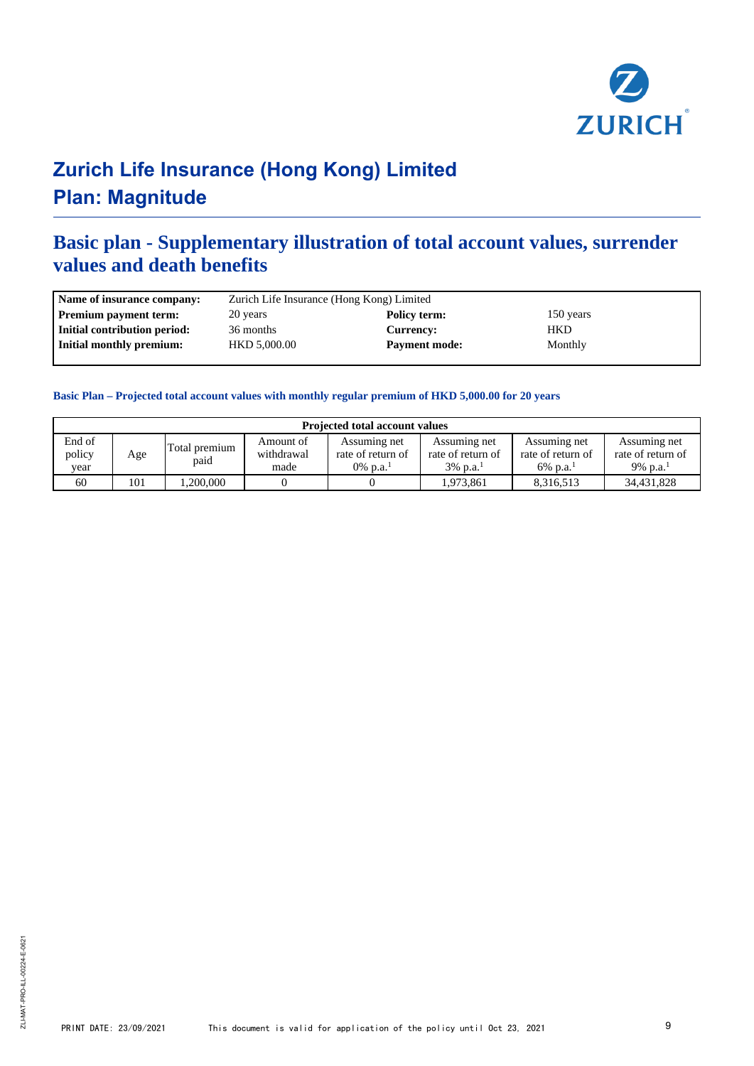

### **Basic plan - Supplementary illustration of total account values, surrender values and death benefits**

| Name of insurance company:   | Zurich Life Insurance (Hong Kong) Limited |                      |            |  |  |
|------------------------------|-------------------------------------------|----------------------|------------|--|--|
| <b>Premium payment term:</b> | 20 years                                  | Policy term:         | 150 years  |  |  |
| Initial contribution period: | 36 months                                 | Currency:            | <b>HKD</b> |  |  |
| Initial monthly premium:     | HKD 5,000.00                              | <b>Payment mode:</b> | Monthly    |  |  |
|                              |                                           |                      |            |  |  |

#### **Basic Plan – Projected total account values with monthly regular premium of HKD 5,000.00 for 20 years**

| <b>Projected total account values</b> |     |                       |                                 |                                                            |                                                              |                                                              |                                                           |
|---------------------------------------|-----|-----------------------|---------------------------------|------------------------------------------------------------|--------------------------------------------------------------|--------------------------------------------------------------|-----------------------------------------------------------|
| End of<br>policy<br>vear              | Age | Total premium<br>paid | Amount of<br>withdrawal<br>made | Assuming net<br>rate of return of<br>0\% p.a. <sup>1</sup> | Assuming net<br>rate of return of<br>$3\%$ p.a. <sup>1</sup> | Assuming net<br>rate of return of<br>$6\%$ p.a. <sup>1</sup> | Assuming net<br>rate of return of<br>9% p.a. <sup>1</sup> |
| 60                                    | 101 | .200,000              |                                 |                                                            | 1.973.861                                                    | 8,316,513                                                    | 34,431,828                                                |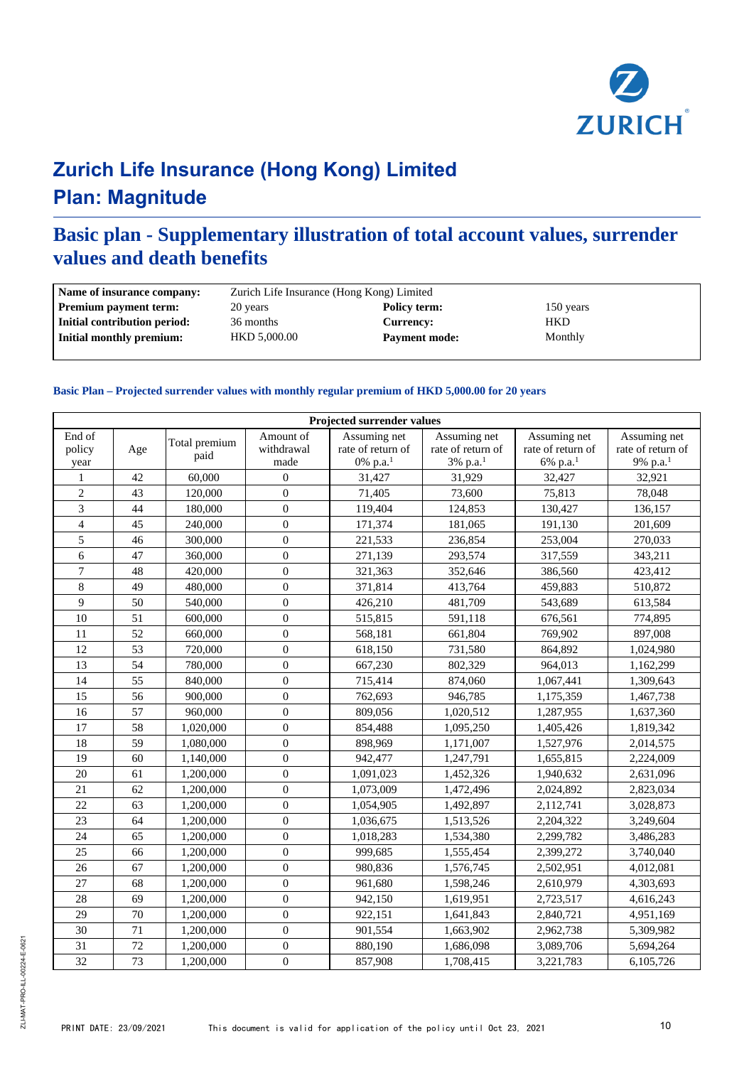

### **Basic plan - Supplementary illustration of total account values, surrender values and death benefits**

| Name of insurance company:                      | Zurich Life Insurance (Hong Kong) Limited |                      |            |  |  |  |
|-------------------------------------------------|-------------------------------------------|----------------------|------------|--|--|--|
| <b>Premium payment term:</b>                    | 20 years                                  | Policy term:         | 150 years  |  |  |  |
| Initial contribution period:                    | 36 months                                 | <b>Currency:</b>     | <b>HKD</b> |  |  |  |
| Initial monthly premium:<br><b>HKD 5.000.00</b> |                                           | <b>Payment mode:</b> | Monthly    |  |  |  |

#### **Basic Plan – Projected surrender values with monthly regular premium of HKD 5,000.00 for 20 years**

| <b>Projected surrender values</b> |     |                       |                                 |                                                 |                                                              |                                                           |                                                           |
|-----------------------------------|-----|-----------------------|---------------------------------|-------------------------------------------------|--------------------------------------------------------------|-----------------------------------------------------------|-----------------------------------------------------------|
| End of<br>policy<br>year          | Age | Total premium<br>paid | Amount of<br>withdrawal<br>made | Assuming net<br>rate of return of<br>0% $p.a.1$ | Assuming net<br>rate of return of<br>$3\%$ p.a. <sup>1</sup> | Assuming net<br>rate of return of<br>6% p.a. <sup>1</sup> | Assuming net<br>rate of return of<br>9% p.a. <sup>1</sup> |
| $\mathbf{1}$                      | 42  | 60,000                | $\mathbf{0}$                    | 31,427                                          | 31,929                                                       | 32,427                                                    | 32,921                                                    |
| $\overline{2}$                    | 43  | 120,000               | $\mathbf{0}$                    | 71,405                                          | 73,600                                                       | 75,813                                                    | 78,048                                                    |
| 3                                 | 44  | 180,000               | $\mathbf{0}$                    | 119,404                                         | 124,853                                                      | 130,427                                                   | 136,157                                                   |
| $\overline{4}$                    | 45  | 240,000               | $\mathbf{0}$                    | 171,374                                         | 181,065                                                      | 191,130                                                   | 201,609                                                   |
| 5                                 | 46  | 300,000               | $\mathbf{0}$                    | 221,533                                         | 236,854                                                      | 253,004                                                   | 270,033                                                   |
| 6                                 | 47  | 360,000               | $\boldsymbol{0}$                | 271,139                                         | 293,574                                                      | 317,559                                                   | 343,211                                                   |
| $\tau$                            | 48  | 420,000               | $\mathbf{0}$                    | 321,363                                         | 352,646                                                      | 386,560                                                   | 423,412                                                   |
| $\,8\,$                           | 49  | 480,000               | $\mathbf{0}$                    | 371,814                                         | 413,764                                                      | 459,883                                                   | 510,872                                                   |
| $\overline{9}$                    | 50  | 540,000               | $\mathbf{0}$                    | 426,210                                         | 481,709                                                      | 543,689                                                   | 613,584                                                   |
| 10                                | 51  | 600,000               | $\overline{0}$                  | 515,815                                         | 591,118                                                      | 676,561                                                   | 774,895                                                   |
| 11                                | 52  | 660,000               | $\mathbf{0}$                    | 568,181                                         | 661,804                                                      | 769,902                                                   | 897,008                                                   |
| 12                                | 53  | 720,000               | $\mathbf{0}$                    | 618,150                                         | 731,580                                                      | 864,892                                                   | 1,024,980                                                 |
| 13                                | 54  | 780,000               | $\Omega$                        | 667,230                                         | 802.329                                                      | 964.013                                                   | 1,162,299                                                 |
| 14                                | 55  | 840,000               | $\mathbf{0}$                    | 715,414                                         | 874,060                                                      | 1,067,441                                                 | 1,309,643                                                 |
| 15                                | 56  | 900,000               | $\mathbf{0}$                    | 762,693                                         | 946,785                                                      | 1,175,359                                                 | 1,467,738                                                 |
| 16                                | 57  | 960,000               | $\boldsymbol{0}$                | 809,056                                         | 1,020,512                                                    | 1,287,955                                                 | 1,637,360                                                 |
| 17                                | 58  | 1,020,000             | $\mathbf{0}$                    | 854,488                                         | 1,095,250                                                    | 1,405,426                                                 | 1,819,342                                                 |
| 18                                | 59  | 1,080,000             | $\mathbf{0}$                    | 898,969                                         | 1,171,007                                                    | 1,527,976                                                 | 2,014,575                                                 |
| 19                                | 60  | 1,140,000             | $\boldsymbol{0}$                | 942,477                                         | 1,247,791                                                    | 1,655,815                                                 | 2,224,009                                                 |
| 20                                | 61  | 1,200,000             | $\mathbf{0}$                    | 1,091,023                                       | 1,452,326                                                    | 1,940,632                                                 | 2,631,096                                                 |
| 21                                | 62  | 1,200,000             | $\mathbf{0}$                    | 1,073,009                                       | 1,472,496                                                    | 2,024,892                                                 | 2,823,034                                                 |
| 22                                | 63  | 1,200,000             | $\mathbf{0}$                    | 1,054,905                                       | 1,492,897                                                    | 2,112,741                                                 | 3,028,873                                                 |
| 23                                | 64  | 1,200,000             | $\mathbf{0}$                    | 1,036,675                                       | 1,513,526                                                    | 2,204,322                                                 | 3,249,604                                                 |
| 24                                | 65  | 1,200,000             | $\mathbf{0}$                    | 1,018,283                                       | 1,534,380                                                    | 2,299,782                                                 | 3,486,283                                                 |
| 25                                | 66  | 1,200,000             | $\mathbf{0}$                    | 999,685                                         | 1,555,454                                                    | 2,399,272                                                 | 3,740,040                                                 |
| 26                                | 67  | 1.200.000             | $\Omega$                        | 980.836                                         | 1,576,745                                                    | 2,502,951                                                 | 4,012,081                                                 |
| 27                                | 68  | 1,200,000             | $\mathbf{0}$                    | 961,680                                         | 1,598,246                                                    | 2,610,979                                                 | 4,303,693                                                 |
| 28                                | 69  | 1,200,000             | $\mathbf{0}$                    | 942,150                                         | 1,619,951                                                    | 2,723,517                                                 | 4,616,243                                                 |
| 29                                | 70  | 1,200,000             | $\boldsymbol{0}$                | 922,151                                         | 1,641,843                                                    | 2,840,721                                                 | 4,951,169                                                 |
| 30                                | 71  | 1,200,000             | $\mathbf{0}$                    | 901,554                                         | 1,663,902                                                    | 2,962,738                                                 | 5,309,982                                                 |
| 31                                | 72  | 1,200,000             | $\boldsymbol{0}$                | 880,190                                         | 1,686,098                                                    | 3,089,706                                                 | 5,694,264                                                 |
| 32                                | 73  | 1,200,000             | $\boldsymbol{0}$                | 857,908                                         | 1,708,415                                                    | 3,221,783                                                 | 6,105,726                                                 |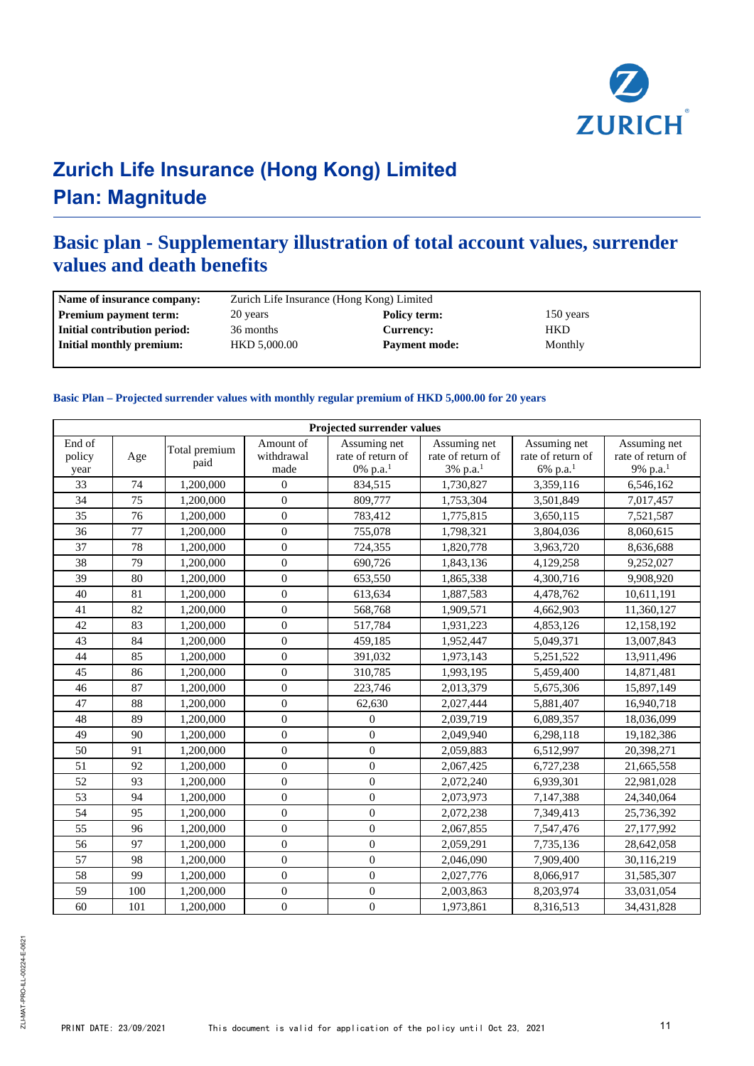

### **Basic plan - Supplementary illustration of total account values, surrender values and death benefits**

| Name of insurance company:   | Zurich Life Insurance (Hong Kong) Limited   |                  |            |  |  |  |
|------------------------------|---------------------------------------------|------------------|------------|--|--|--|
| <b>Premium payment term:</b> | 20 years                                    | Policy term:     | 150 years  |  |  |  |
| Initial contribution period: | 36 months                                   | <b>Currencv:</b> | <b>HKD</b> |  |  |  |
| Initial monthly premium:     | <b>HKD 5,000.00</b><br><b>Payment mode:</b> |                  | Monthly    |  |  |  |
|                              |                                             |                  |            |  |  |  |

#### **Basic Plan – Projected surrender values with monthly regular premium of HKD 5,000.00 for 20 years**

| Projected surrender values |     |                       |                                 |                                               |                                                           |                                                           |                                                           |
|----------------------------|-----|-----------------------|---------------------------------|-----------------------------------------------|-----------------------------------------------------------|-----------------------------------------------------------|-----------------------------------------------------------|
| End of<br>policy<br>year   | Age | Total premium<br>paid | Amount of<br>withdrawal<br>made | Assuming net<br>rate of return of<br>0% p.a.1 | Assuming net<br>rate of return of<br>3% p.a. <sup>1</sup> | Assuming net<br>rate of return of<br>6% p.a. <sup>1</sup> | Assuming net<br>rate of return of<br>9% p.a. <sup>1</sup> |
| 33                         | 74  | 1,200,000             | $\mathbf{0}$                    | 834,515                                       | 1,730,827                                                 | 3,359,116                                                 | 6,546,162                                                 |
| 34                         | 75  | 1,200,000             | $\boldsymbol{0}$                | 809,777                                       | 1,753,304                                                 | 3,501,849                                                 | 7,017,457                                                 |
| 35                         | 76  | 1,200,000             | $\overline{0}$                  | 783,412                                       | 1,775,815                                                 | 3,650,115                                                 | 7,521,587                                                 |
| 36                         | 77  | 1,200,000             | $\mathbf{0}$                    | 755,078                                       | 1,798,321                                                 | 3,804,036                                                 | 8,060,615                                                 |
| 37                         | 78  | 1,200,000             | $\overline{0}$                  | 724,355                                       | 1,820,778                                                 | 3,963,720                                                 | 8,636,688                                                 |
| 38                         | 79  | 1,200,000             | $\boldsymbol{0}$                | 690,726                                       | 1,843,136                                                 | 4,129,258                                                 | 9,252,027                                                 |
| 39                         | 80  | 1,200,000             | $\boldsymbol{0}$                | 653,550                                       | 1,865,338                                                 | 4,300,716                                                 | 9,908,920                                                 |
| 40                         | 81  | 1,200,000             | $\mathbf{0}$                    | 613,634                                       | 1,887,583                                                 | 4,478,762                                                 | 10,611,191                                                |
| 41                         | 82  | 1,200,000             | $\overline{0}$                  | 568,768                                       | 1,909,571                                                 | 4,662,903                                                 | 11,360,127                                                |
| 42                         | 83  | 1,200,000             | $\mathbf{0}$                    | 517,784                                       | 1,931,223                                                 | 4,853,126                                                 | 12,158,192                                                |
| 43                         | 84  | 1,200,000             | $\overline{0}$                  | 459,185                                       | 1,952,447                                                 | 5,049,371                                                 | 13,007,843                                                |
| 44                         | 85  | 1,200,000             | $\boldsymbol{0}$                | 391,032                                       | 1,973,143                                                 | 5,251,522                                                 | 13,911,496                                                |
| 45                         | 86  | 1,200,000             | $\overline{0}$                  | 310,785                                       | 1,993,195                                                 | 5,459,400                                                 | 14,871,481                                                |
| 46                         | 87  | 1,200,000             | $\overline{0}$                  | 223,746                                       | 2,013,379                                                 | 5,675,306                                                 | 15,897,149                                                |
| 47                         | 88  | 1,200,000             | $\boldsymbol{0}$                | 62,630                                        | 2,027,444                                                 | 5,881,407                                                 | 16,940,718                                                |
| 48                         | 89  | 1,200,000             | $\mathbf{0}$                    | $\mathbf{0}$                                  | 2,039,719                                                 | 6,089,357                                                 | 18,036,099                                                |
| 49                         | 90  | 1,200,000             | $\overline{0}$                  | $\Omega$                                      | 2,049,940                                                 | 6,298,118                                                 | 19,182,386                                                |
| 50                         | 91  | 1,200,000             | $\overline{0}$                  | $\mathbf{0}$                                  | 2,059,883                                                 | 6,512,997                                                 | 20,398,271                                                |
| 51                         | 92  | 1,200,000             | $\overline{0}$                  | $\mathbf{0}$                                  | 2,067,425                                                 | 6,727,238                                                 | 21,665,558                                                |
| 52                         | 93  | 1,200,000             | $\overline{0}$                  | $\mathbf{0}$                                  | 2,072,240                                                 | 6,939,301                                                 | 22,981,028                                                |
| 53                         | 94  | 1,200,000             | $\mathbf{0}$                    | $\mathbf{0}$                                  | 2,073,973                                                 | 7,147,388                                                 | 24,340,064                                                |
| 54                         | 95  | 1,200,000             | $\overline{0}$                  | $\Omega$                                      | 2,072,238                                                 | 7,349,413                                                 | 25,736,392                                                |
| 55                         | 96  | 1,200,000             | $\boldsymbol{0}$                | $\mathbf{0}$                                  | 2,067,855                                                 | 7,547,476                                                 | 27,177,992                                                |
| 56                         | 97  | 1,200,000             | $\boldsymbol{0}$                | $\boldsymbol{0}$                              | 2,059,291                                                 | 7,735,136                                                 | 28,642,058                                                |
| 57                         | 98  | 1,200,000             | $\overline{0}$                  | $\mathbf{0}$                                  | 2,046,090                                                 | 7,909,400                                                 | 30,116,219                                                |
| 58                         | 99  | 1,200,000             | $\boldsymbol{0}$                | $\mathbf{0}$                                  | 2,027,776                                                 | 8,066,917                                                 | 31,585,307                                                |
| 59                         | 100 | 1,200,000             | $\mathbf{0}$                    | $\mathbf{0}$                                  | 2,003,863                                                 | 8,203,974                                                 | 33,031,054                                                |
| 60                         | 101 | 1,200,000             | $\boldsymbol{0}$                | $\boldsymbol{0}$                              | 1,973,861                                                 | 8,316,513                                                 | 34,431,828                                                |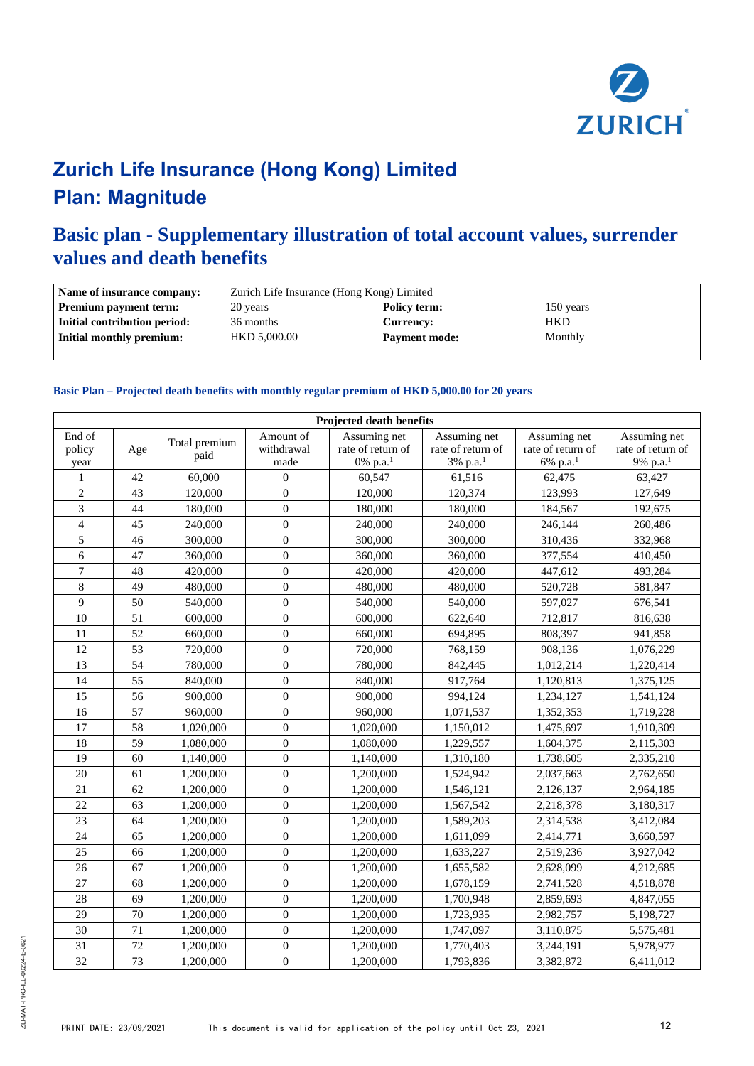

### **Basic plan - Supplementary illustration of total account values, surrender values and death benefits**

| Name of insurance company:   | Zurich Life Insurance (Hong Kong) Limited |                      |           |  |  |  |
|------------------------------|-------------------------------------------|----------------------|-----------|--|--|--|
| <b>Premium payment term:</b> | 20 years                                  | Policy term:         | 150 years |  |  |  |
| Initial contribution period: | 36 months                                 | <b>Currency:</b>     | HKD       |  |  |  |
| Initial monthly premium:     | HKD 5,000.00                              | <b>Payment mode:</b> | Monthly   |  |  |  |

#### **Basic Plan – Projected death benefits with monthly regular premium of HKD 5,000.00 for 20 years**

| <b>Projected death benefits</b> |     |                       |                                 |                                               |                                                           |                                                           |                                                           |
|---------------------------------|-----|-----------------------|---------------------------------|-----------------------------------------------|-----------------------------------------------------------|-----------------------------------------------------------|-----------------------------------------------------------|
| End of<br>policy<br>year        | Age | Total premium<br>paid | Amount of<br>withdrawal<br>made | Assuming net<br>rate of return of<br>0% p.a.1 | Assuming net<br>rate of return of<br>3% p.a. <sup>1</sup> | Assuming net<br>rate of return of<br>6% p.a. <sup>1</sup> | Assuming net<br>rate of return of<br>9% p.a. <sup>1</sup> |
| 1                               | 42  | 60,000                | $\overline{0}$                  | 60,547                                        | 61,516                                                    | 62,475                                                    | 63,427                                                    |
| $\overline{2}$                  | 43  | 120,000               | $\mathbf{0}$                    | 120,000                                       | 120,374                                                   | 123,993                                                   | 127,649                                                   |
| 3                               | 44  | 180,000               | $\Omega$                        | 180,000                                       | 180,000                                                   | 184,567                                                   | 192,675                                                   |
| $\overline{\mathbf{4}}$         | 45  | 240,000               | $\mathbf{0}$                    | 240,000                                       | 240,000                                                   | 246,144                                                   | 260,486                                                   |
| 5                               | 46  | 300,000               | $\boldsymbol{0}$                | 300,000                                       | 300,000                                                   | 310,436                                                   | 332,968                                                   |
| 6                               | 47  | 360,000               | $\overline{0}$                  | 360,000                                       | 360,000                                                   | 377,554                                                   | 410,450                                                   |
| $\overline{7}$                  | 48  | 420,000               | $\mathbf{0}$                    | 420,000                                       | 420,000                                                   | 447,612                                                   | 493,284                                                   |
| $\,8\,$                         | 49  | 480,000               | $\boldsymbol{0}$                | 480,000                                       | 480,000                                                   | 520,728                                                   | 581,847                                                   |
| 9                               | 50  | 540,000               | $\mathbf{0}$                    | 540,000                                       | 540,000                                                   | 597,027                                                   | 676,541                                                   |
| 10                              | 51  | 600,000               | $\mathbf{0}$                    | 600,000                                       | 622,640                                                   | 712,817                                                   | 816,638                                                   |
| 11                              | 52  | 660,000               | $\mathbf{0}$                    | 660,000                                       | 694,895                                                   | 808,397                                                   | 941,858                                                   |
| 12                              | 53  | 720,000               | $\Omega$                        | 720,000                                       | 768.159                                                   | 908,136                                                   | 1,076,229                                                 |
| 13                              | 54  | 780,000               | $\mathbf{0}$                    | 780,000                                       | 842,445                                                   | 1,012,214                                                 | 1,220,414                                                 |
| 14                              | 55  | 840,000               | $\mathbf{0}$                    | 840,000                                       | 917,764                                                   | 1,120,813                                                 | 1,375,125                                                 |
| 15                              | 56  | 900,000               | $\mathbf{0}$                    | 900,000                                       | 994,124                                                   | 1,234,127                                                 | 1,541,124                                                 |
| 16                              | 57  | 960,000               | $\mathbf{0}$                    | 960,000                                       | 1,071,537                                                 | 1,352,353                                                 | 1,719,228                                                 |
| 17                              | 58  | 1,020,000             | $\mathbf{0}$                    | 1,020,000                                     | 1,150,012                                                 | 1,475,697                                                 | 1,910,309                                                 |
| 18                              | 59  | 1,080,000             | $\overline{0}$                  | 1,080,000                                     | 1,229,557                                                 | 1,604,375                                                 | 2,115,303                                                 |
| 19                              | 60  | 1,140,000             | $\mathbf{0}$                    | 1,140,000                                     | 1,310,180                                                 | 1,738,605                                                 | 2,335,210                                                 |
| 20                              | 61  | 1,200,000             | $\boldsymbol{0}$                | 1,200,000                                     | 1,524,942                                                 | 2,037,663                                                 | 2,762,650                                                 |
| 21                              | 62  | 1,200,000             | $\overline{0}$                  | 1,200,000                                     | 1,546,121                                                 | 2,126,137                                                 | 2,964,185                                                 |
| 22                              | 63  | 1,200,000             | $\mathbf{0}$                    | 1,200,000                                     | 1,567,542                                                 | 2,218,378                                                 | 3,180,317                                                 |
| 23                              | 64  | 1,200,000             | $\mathbf{0}$                    | 1,200,000                                     | 1,589,203                                                 | 2,314,538                                                 | 3,412,084                                                 |
| 24                              | 65  | 1,200,000             | $\mathbf{0}$                    | 1,200,000                                     | 1,611,099                                                 | 2,414,771                                                 | 3,660,597                                                 |
| 25                              | 66  | 1,200,000             | $\mathbf{0}$                    | 1,200,000                                     | 1,633,227                                                 | 2,519,236                                                 | 3,927,042                                                 |
| 26                              | 67  | 1,200,000             | $\mathbf{0}$                    | 1,200,000                                     | 1,655,582                                                 | 2,628,099                                                 | 4,212,685                                                 |
| 27                              | 68  | 1,200,000             | $\Omega$                        | 1,200,000                                     | 1,678,159                                                 | 2,741,528                                                 | 4,518,878                                                 |
| 28                              | 69  | 1,200,000             | $\mathbf{0}$                    | 1,200,000                                     | 1,700,948                                                 | 2,859,693                                                 | 4,847,055                                                 |
| 29                              | 70  | 1,200,000             | $\boldsymbol{0}$                | 1,200,000                                     | 1,723,935                                                 | 2,982,757                                                 | 5,198,727                                                 |
| 30                              | 71  | 1,200,000             | $\mathbf{0}$                    | 1,200,000                                     | 1,747,097                                                 | 3,110,875                                                 | 5,575,481                                                 |
| 31                              | 72  | 1,200,000             | $\mathbf{0}$                    | 1,200,000                                     | 1,770,403                                                 | 3,244,191                                                 | 5,978,977                                                 |
| 32                              | 73  | 1,200,000             | $\boldsymbol{0}$                | 1,200,000                                     | 1,793,836                                                 | 3,382,872                                                 | 6,411,012                                                 |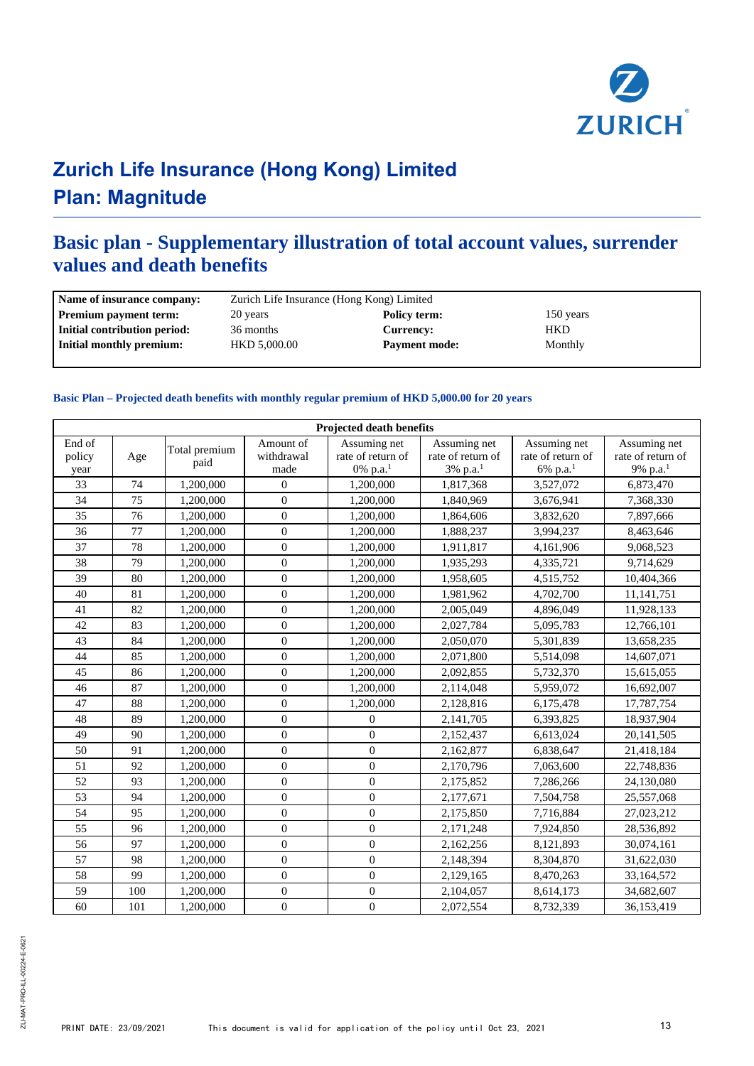

### **Basic plan - Supplementary illustration of total account values, surrender values and death benefits**

| Name of insurance company:   | Zurich Life Insurance (Hong Kong) Limited   |                  |            |  |  |
|------------------------------|---------------------------------------------|------------------|------------|--|--|
| <b>Premium payment term:</b> | 20 years                                    | Policy term:     | 150 years  |  |  |
| Initial contribution period: | 36 months                                   | <b>Currency:</b> | <b>HKD</b> |  |  |
| Initial monthly premium:     | <b>HKD 5,000.00</b><br><b>Payment mode:</b> |                  | Monthly    |  |  |
|                              |                                             |                  |            |  |  |

#### **Basic Plan – Projected death benefits with monthly regular premium of HKD 5,000.00 for 20 years**

| <b>Projected death benefits</b> |     |                       |                                 |                                                           |                                               |                                                           |                                                           |
|---------------------------------|-----|-----------------------|---------------------------------|-----------------------------------------------------------|-----------------------------------------------|-----------------------------------------------------------|-----------------------------------------------------------|
| End of<br>policy<br>year        | Age | Total premium<br>paid | Amount of<br>withdrawal<br>made | Assuming net<br>rate of return of<br>0% p.a. <sup>1</sup> | Assuming net<br>rate of return of<br>3% p.a.1 | Assuming net<br>rate of return of<br>6% p.a. <sup>1</sup> | Assuming net<br>rate of return of<br>9% p.a. <sup>1</sup> |
| 33                              | 74  | 1,200,000             | $\mathbf{0}$                    | 1,200,000                                                 | 1,817,368                                     | 3,527,072                                                 | 6,873,470                                                 |
| 34                              | 75  | 1,200,000             | $\overline{0}$                  | 1,200,000                                                 | 1,840,969                                     | 3,676,941                                                 | 7,368,330                                                 |
| 35                              | 76  | 1,200,000             | $\theta$                        | 1,200,000                                                 | 1,864,606                                     | 3,832,620                                                 | 7,897,666                                                 |
| 36                              | 77  | 1,200,000             | $\overline{0}$                  | 1,200,000                                                 | 1,888,237                                     | 3,994,237                                                 | 8,463,646                                                 |
| 37                              | 78  | 1,200,000             | $\overline{0}$                  | 1,200,000                                                 | 1,911,817                                     | 4,161,906                                                 | 9,068,523                                                 |
| 38                              | 79  | 1,200,000             | $\overline{0}$                  | 1,200,000                                                 | 1,935,293                                     | 4,335,721                                                 | 9,714,629                                                 |
| 39                              | 80  | 1,200,000             | $\mathbf{0}$                    | 1,200,000                                                 | 1,958,605                                     | 4,515,752                                                 | 10,404,366                                                |
| 40                              | 81  | 1,200,000             | $\mathbf{0}$                    | 1,200,000                                                 | 1,981,962                                     | 4,702,700                                                 | 11,141,751                                                |
| 41                              | 82  | 1,200,000             | $\overline{0}$                  | 1,200,000                                                 | 2,005,049                                     | 4,896,049                                                 | 11,928,133                                                |
| 42                              | 83  | 1,200,000             | $\mathbf{0}$                    | 1,200,000                                                 | 2,027,784                                     | 5,095,783                                                 | 12,766,101                                                |
| 43                              | 84  | 1,200,000             | $\overline{0}$                  | 1,200,000                                                 | 2,050,070                                     | 5,301,839                                                 | 13,658,235                                                |
| 44                              | 85  | 1,200,000             | $\overline{0}$                  | 1,200,000                                                 | 2,071,800                                     | 5,514,098                                                 | 14,607,071                                                |
| 45                              | 86  | 1,200,000             | $\boldsymbol{0}$                | 1,200,000                                                 | 2,092,855                                     | 5,732,370                                                 | 15,615,055                                                |
| 46                              | 87  | 1,200,000             | $\mathbf{0}$                    | 1,200,000                                                 | 2,114,048                                     | 5,959,072                                                 | 16,692,007                                                |
| 47                              | 88  | 1,200,000             | $\overline{0}$                  | 1,200,000                                                 | 2,128,816                                     | 6,175,478                                                 | 17,787,754                                                |
| 48                              | 89  | 1,200,000             | $\theta$                        | $\theta$                                                  | 2,141,705                                     | 6,393,825                                                 | 18,937,904                                                |
| 49                              | 90  | 1,200,000             | $\overline{0}$                  | $\overline{0}$                                            | 2,152,437                                     | 6,613,024                                                 | 20,141,505                                                |
| 50                              | 91  | 1,200,000             | $\boldsymbol{0}$                | $\boldsymbol{0}$                                          | 2,162,877                                     | 6,838,647                                                 | 21,418,184                                                |
| 51                              | 92  | 1,200,000             | $\overline{0}$                  | $\overline{0}$                                            | 2,170,796                                     | 7,063,600                                                 | 22,748,836                                                |
| 52                              | 93  | 1,200,000             | $\overline{0}$                  | $\overline{0}$                                            | 2,175,852                                     | 7,286,266                                                 | 24,130,080                                                |
| 53                              | 94  | 1,200,000             | $\overline{0}$                  | $\overline{0}$                                            | 2,177,671                                     | 7,504,758                                                 | 25,557,068                                                |
| 54                              | 95  | 1,200,000             | $\mathbf{0}$                    | $\mathbf{0}$                                              | 2,175,850                                     | 7,716,884                                                 | 27,023,212                                                |
| 55                              | 96  | 1,200,000             | $\overline{0}$                  | $\overline{0}$                                            | 2,171,248                                     | 7,924,850                                                 | 28,536,892                                                |
| 56                              | 97  | 1,200,000             | $\boldsymbol{0}$                | $\boldsymbol{0}$                                          | 2,162,256                                     | 8,121,893                                                 | 30,074,161                                                |
| 57                              | 98  | 1,200,000             | $\overline{0}$                  | $\overline{0}$                                            | 2,148,394                                     | 8,304,870                                                 | 31,622,030                                                |
| 58                              | 99  | 1,200,000             | $\overline{0}$                  | $\mathbf{0}$                                              | 2,129,165                                     | 8,470,263                                                 | 33,164,572                                                |
| 59                              | 100 | 1,200,000             | $\theta$                        | $\mathbf{0}$                                              | 2,104,057                                     | 8,614,173                                                 | 34,682,607                                                |
| 60                              | 101 | 1,200,000             | $\boldsymbol{0}$                | $\boldsymbol{0}$                                          | 2,072,554                                     | 8,732,339                                                 | 36,153,419                                                |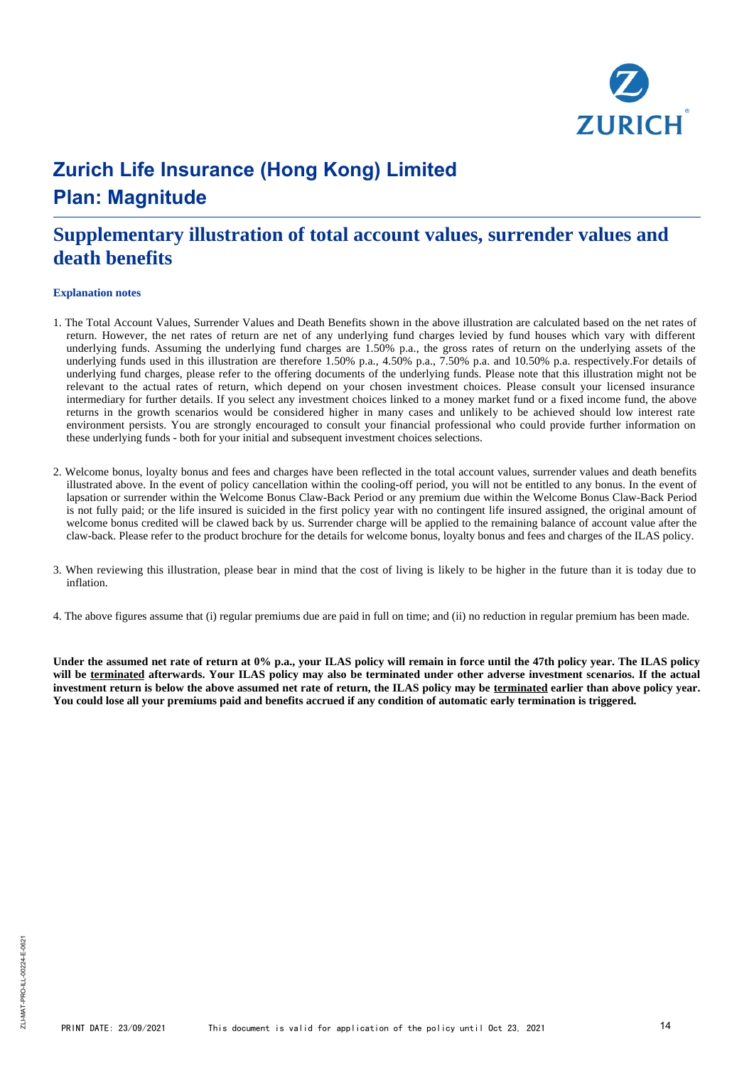

### **Supplementary illustration of total account values, surrender values and death benefits**

#### **Explanation notes**

- 1. The Total Account Values, Surrender Values and Death Benefits shown in the above illustration are calculated based on the net rates of return. However, the net rates of return are net of any underlying fund charges levied by fund houses which vary with different underlying funds. Assuming the underlying fund charges are 1.50% p.a., the gross rates of return on the underlying assets of the underlying funds used in this illustration are therefore 1.50% p.a., 4.50% p.a., 7.50% p.a. and 10.50% p.a. respectively.For details of underlying fund charges, please refer to the offering documents of the underlying funds. Please note that this illustration might not be relevant to the actual rates of return, which depend on your chosen investment choices. Please consult your licensed insurance intermediary for further details. If you select any investment choices linked to a money market fund or a fixed income fund, the above returns in the growth scenarios would be considered higher in many cases and unlikely to be achieved should low interest rate environment persists. You are strongly encouraged to consult your financial professional who could provide further information on these underlying funds - both for your initial and subsequent investment choices selections.
- 2. Welcome bonus, loyalty bonus and fees and charges have been reflected in the total account values, surrender values and death benefits illustrated above. In the event of policy cancellation within the cooling-off period, you will not be entitled to any bonus. In the event of lapsation or surrender within the Welcome Bonus Claw-Back Period or any premium due within the Welcome Bonus Claw-Back Period is not fully paid; or the life insured is suicided in the first policy year with no contingent life insured assigned, the original amount of welcome bonus credited will be clawed back by us. Surrender charge will be applied to the remaining balance of account value after the claw-back. Please refer to the product brochure for the details for welcome bonus, loyalty bonus and fees and charges of the ILAS policy.
- 3. When reviewing this illustration, please bear in mind that the cost of living is likely to be higher in the future than it is today due to inflation.
- 4. The above figures assume that (i) regular premiums due are paid in full on time; and (ii) no reduction in regular premium has been made.

**Under the assumed net rate of return at 0% p.a., your ILAS policy will remain in force until the 47th policy year. The ILAS policy will be terminated afterwards. Your ILAS policy may also be terminated under other adverse investment scenarios. If the actual investment return is below the above assumed net rate of return, the ILAS policy may be terminated earlier than above policy year. You could lose all your premiums paid and benefits accrued if any condition of automatic early termination is triggered.**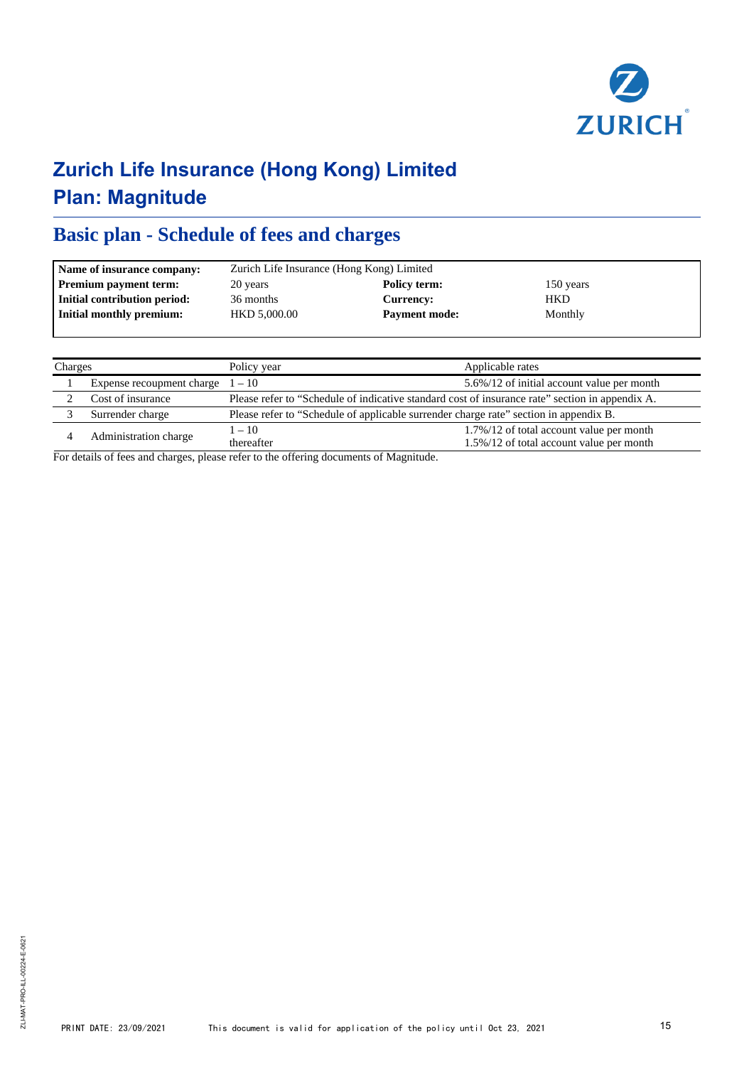

### **Basic plan - Schedule of fees and charges**

| Name of insurance company:   |              | Zurich Life Insurance (Hong Kong) Limited |            |  |  |  |
|------------------------------|--------------|-------------------------------------------|------------|--|--|--|
| <b>Premium payment term:</b> | 20 years     | Policy term:                              | 150 years  |  |  |  |
| Initial contribution period: | 36 months    | Currency:                                 | <b>HKD</b> |  |  |  |
| Initial monthly premium:     | HKD 5,000.00 | <b>Payment mode:</b>                      | Monthly    |  |  |  |
|                              |              |                                           |            |  |  |  |

| Charges |                                    | Policy year                                                                                     | Applicable rates                                                                     |  |
|---------|------------------------------------|-------------------------------------------------------------------------------------------------|--------------------------------------------------------------------------------------|--|
|         | Expense recoupment charge $1 - 10$ | 5.6%/12 of initial account value per month                                                      |                                                                                      |  |
|         | Cost of insurance                  | Please refer to "Schedule of indicative standard cost of insurance rate" section in appendix A. |                                                                                      |  |
|         | Surrender charge                   | Please refer to "Schedule of applicable surrender charge rate" section in appendix B.           |                                                                                      |  |
|         | Administration charge              | $1 - 10$<br>thereafter                                                                          | 1.7%/12 of total account value per month<br>1.5%/12 of total account value per month |  |

For details of fees and charges, please refer to the offering documents of Magnitude.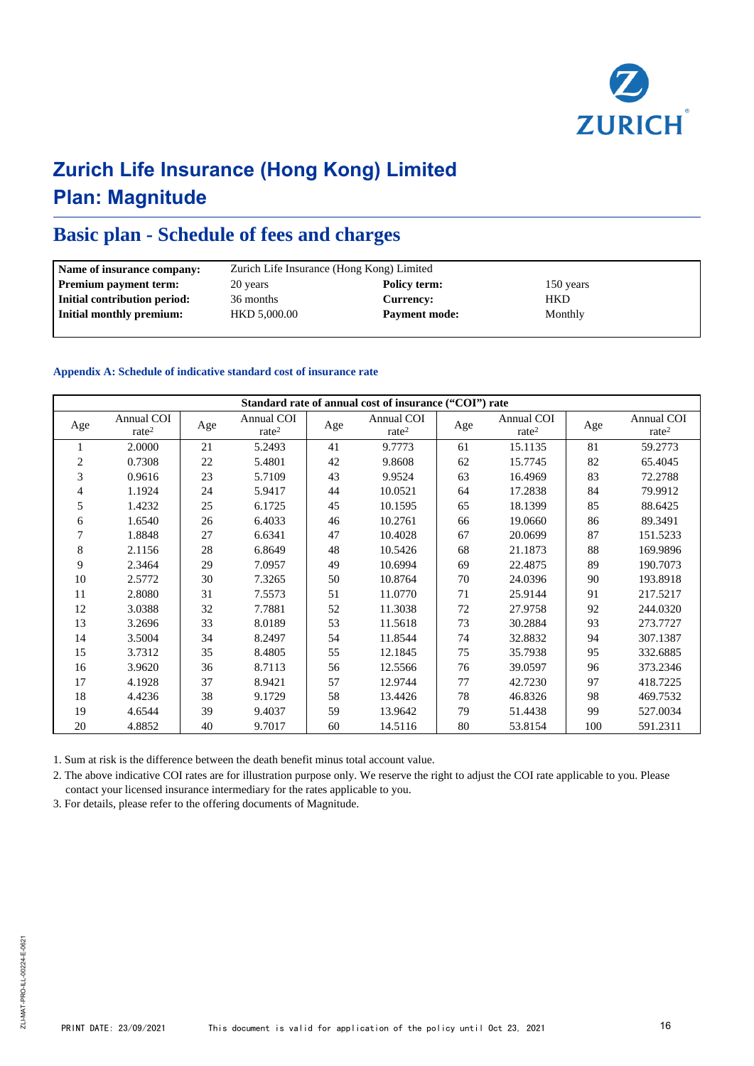

### **Basic plan - Schedule of fees and charges**

| Name of insurance company:   |                          | Zurich Life Insurance (Hong Kong) Limited |            |  |  |  |  |
|------------------------------|--------------------------|-------------------------------------------|------------|--|--|--|--|
| <b>Premium payment term:</b> | Policy term:<br>20 years |                                           | 150 years  |  |  |  |  |
| Initial contribution period: | 36 months                | Currency:                                 | <b>HKD</b> |  |  |  |  |
| Initial monthly premium:     | HKD 5,000.00             | <b>Payment mode:</b>                      | Monthly    |  |  |  |  |
|                              |                          |                                           |            |  |  |  |  |

#### **Appendix A: Schedule of indicative standard cost of insurance rate**

|                | Standard rate of annual cost of insurance ("COI") rate |     |                                 |     |                                 |     |                                 |     |                                 |
|----------------|--------------------------------------------------------|-----|---------------------------------|-----|---------------------------------|-----|---------------------------------|-----|---------------------------------|
| Age            | Annual COI<br>rate <sup>2</sup>                        | Age | Annual COI<br>rate <sup>2</sup> | Age | Annual COI<br>rate <sup>2</sup> | Age | Annual COI<br>rate <sup>2</sup> | Age | Annual COI<br>rate <sup>2</sup> |
| 1              | 2.0000                                                 | 21  | 5.2493                          | 41  | 9.7773                          | 61  | 15.1135                         | 81  | 59.2773                         |
| $\overline{c}$ | 0.7308                                                 | 22  | 5.4801                          | 42  | 9.8608                          | 62  | 15.7745                         | 82  | 65.4045                         |
| 3              | 0.9616                                                 | 23  | 5.7109                          | 43  | 9.9524                          | 63  | 16.4969                         | 83  | 72.2788                         |
| 4              | 1.1924                                                 | 24  | 5.9417                          | 44  | 10.0521                         | 64  | 17.2838                         | 84  | 79.9912                         |
| 5              | 1.4232                                                 | 25  | 6.1725                          | 45  | 10.1595                         | 65  | 18.1399                         | 85  | 88.6425                         |
| 6              | 1.6540                                                 | 26  | 6.4033                          | 46  | 10.2761                         | 66  | 19.0660                         | 86  | 89.3491                         |
| 7              | 1.8848                                                 | 27  | 6.6341                          | 47  | 10.4028                         | 67  | 20.0699                         | 87  | 151.5233                        |
| $\,$ 8 $\,$    | 2.1156                                                 | 28  | 6.8649                          | 48  | 10.5426                         | 68  | 21.1873                         | 88  | 169.9896                        |
| 9              | 2.3464                                                 | 29  | 7.0957                          | 49  | 10.6994                         | 69  | 22.4875                         | 89  | 190.7073                        |
| 10             | 2.5772                                                 | 30  | 7.3265                          | 50  | 10.8764                         | 70  | 24.0396                         | 90  | 193.8918                        |
| 11             | 2.8080                                                 | 31  | 7.5573                          | 51  | 11.0770                         | 71  | 25.9144                         | 91  | 217.5217                        |
| 12             | 3.0388                                                 | 32  | 7.7881                          | 52  | 11.3038                         | 72  | 27.9758                         | 92  | 244.0320                        |
| 13             | 3.2696                                                 | 33  | 8.0189                          | 53  | 11.5618                         | 73  | 30.2884                         | 93  | 273.7727                        |
| 14             | 3.5004                                                 | 34  | 8.2497                          | 54  | 11.8544                         | 74  | 32.8832                         | 94  | 307.1387                        |
| 15             | 3.7312                                                 | 35  | 8.4805                          | 55  | 12.1845                         | 75  | 35.7938                         | 95  | 332.6885                        |
| 16             | 3.9620                                                 | 36  | 8.7113                          | 56  | 12.5566                         | 76  | 39.0597                         | 96  | 373.2346                        |
| 17             | 4.1928                                                 | 37  | 8.9421                          | 57  | 12.9744                         | 77  | 42.7230                         | 97  | 418.7225                        |
| 18             | 4.4236                                                 | 38  | 9.1729                          | 58  | 13.4426                         | 78  | 46.8326                         | 98  | 469.7532                        |
| 19             | 4.6544                                                 | 39  | 9.4037                          | 59  | 13.9642                         | 79  | 51.4438                         | 99  | 527.0034                        |
| 20             | 4.8852                                                 | 40  | 9.7017                          | 60  | 14.5116                         | 80  | 53.8154                         | 100 | 591.2311                        |

1. Sum at risk is the difference between the death benefit minus total account value.

2. The above indicative COI rates are for illustration purpose only. We reserve the right to adjust the COI rate applicable to you. Please contact your licensed insurance intermediary for the rates applicable to you.

3. For details, please refer to the offering documents of Magnitude.